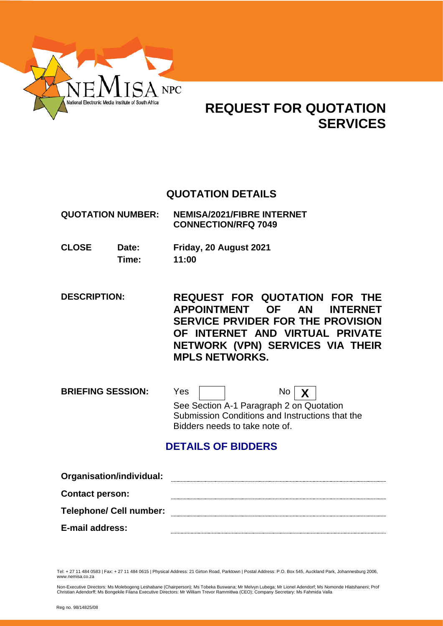

# **REQUEST FOR QUOTATION SERVICES**

# **QUOTATION DETAILS**

| <b>QUOTATION NUMBER:</b> | NEMISA/2021/FIBRE INTERNET |
|--------------------------|----------------------------|
|                          | <b>CONNECTION/RFQ 7049</b> |

- **CLOSE Date: Friday, 20 August 2021 Time: 11:00**
- **DESCRIPTION: REQUEST FOR QUOTATION FOR THE APPOINTMENT OF AN INTERNET SERVICE PRVIDER FOR THE PROVISION OF INTERNET AND VIRTUAL PRIVATE NETWORK (VPN) SERVICES VIA THEIR MPLS NETWORKS.**

**BRIEFING SESSION:** Yes | | No | **X** See Section A-1 Paragraph 2 on Quotation Submission Conditions and Instructions that the Bidders needs to take note of.

# **DETAILS OF BIDDERS**

| Organisation/individual:       |  |
|--------------------------------|--|
| <b>Contact person:</b>         |  |
| <b>Telephone/ Cell number:</b> |  |
| E-mail address:                |  |

Tel: + 27 11 484 0583 | Fax: + 27 11 484 0615 | Physical Address: 21 Girton Road, Parktown | Postal Address: P.O. Box 545, Auckland Park, Johannesburg 2006, www.nemisa.co.za

Non-Executive Directors: Ms Molebogeng Leshabane (Chairperson); Ms Tobeka Buswana; Mr Melvyn Lubega; Mr Lionel Adendorf; Ms Nomonde Hlatshaneni; Prof<br>Christian Adendorff; Ms Bongekile Filana Executive Directors: Mr William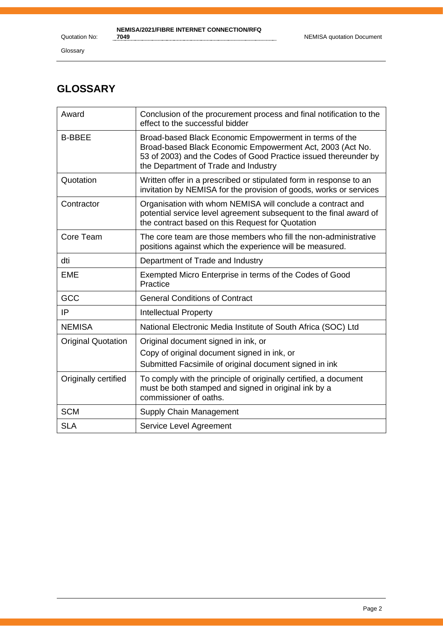Quotation No:

Glossary

# **GLOSSARY**

| Award                     | Conclusion of the procurement process and final notification to the<br>effect to the successful bidder                                                                                                                         |
|---------------------------|--------------------------------------------------------------------------------------------------------------------------------------------------------------------------------------------------------------------------------|
| <b>B-BBEE</b>             | Broad-based Black Economic Empowerment in terms of the<br>Broad-based Black Economic Empowerment Act, 2003 (Act No.<br>53 of 2003) and the Codes of Good Practice issued thereunder by<br>the Department of Trade and Industry |
| Quotation                 | Written offer in a prescribed or stipulated form in response to an<br>invitation by NEMISA for the provision of goods, works or services                                                                                       |
| Contractor                | Organisation with whom NEMISA will conclude a contract and<br>potential service level agreement subsequent to the final award of<br>the contract based on this Request for Quotation                                           |
| Core Team                 | The core team are those members who fill the non-administrative<br>positions against which the experience will be measured.                                                                                                    |
| dti                       | Department of Trade and Industry                                                                                                                                                                                               |
| <b>EME</b>                | Exempted Micro Enterprise in terms of the Codes of Good<br>Practice                                                                                                                                                            |
| GCC                       | <b>General Conditions of Contract</b>                                                                                                                                                                                          |
| IP                        | <b>Intellectual Property</b>                                                                                                                                                                                                   |
| <b>NEMISA</b>             | National Electronic Media Institute of South Africa (SOC) Ltd                                                                                                                                                                  |
| <b>Original Quotation</b> | Original document signed in ink, or                                                                                                                                                                                            |
|                           | Copy of original document signed in ink, or                                                                                                                                                                                    |
|                           | Submitted Facsimile of original document signed in ink                                                                                                                                                                         |
| Originally certified      | To comply with the principle of originally certified, a document<br>must be both stamped and signed in original ink by a<br>commissioner of oaths.                                                                             |
| <b>SCM</b>                | Supply Chain Management                                                                                                                                                                                                        |
| <b>SLA</b>                | Service Level Agreement                                                                                                                                                                                                        |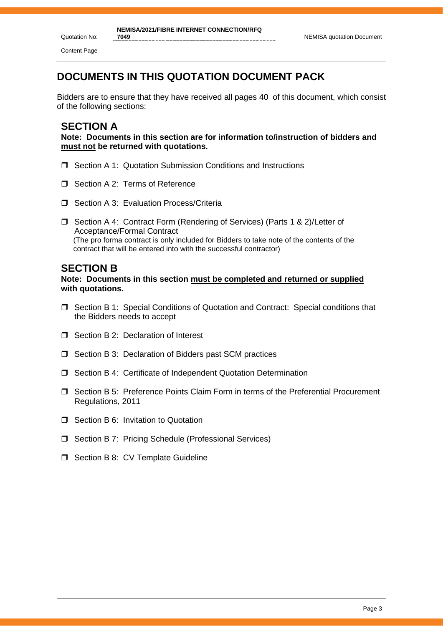Quotation No:

Content Page

# **DOCUMENTS IN THIS QUOTATION DOCUMENT PACK**

Bidders are to ensure that they have received all pages 40 of this document, which consist of the following sections:

# **SECTION A**

**Note: Documents in this section are for information to/instruction of bidders and must not be returned with quotations.**

- □ Section A 1: Quotation Submission Conditions and Instructions
- Section A 2: Terms of Reference
- $\Box$  Section A 3: Evaluation Process/Criteria
- □ Section A 4: Contract Form (Rendering of Services) (Parts 1 & 2)/Letter of Acceptance/Formal Contract (The pro forma contract is only included for Bidders to take note of the contents of the contract that will be entered into with the successful contractor)

## **SECTION B**

**Note: Documents in this section must be completed and returned or supplied with quotations.**

- Section B 1: Special Conditions of Quotation and Contract: Special conditions that the Bidders needs to accept
- □ Section B 2: Declaration of Interest
- $\Box$  Section B 3: Declaration of Bidders past SCM practices
- □ Section B 4: Certificate of Independent Quotation Determination
- Section B 5: Preference Points Claim Form in terms of the Preferential Procurement Regulations, 2011
- **T** Section B 6: Invitation to Quotation
- □ Section B 7: Pricing Schedule (Professional Services)
- $\Box$  Section B 8: CV Template Guideline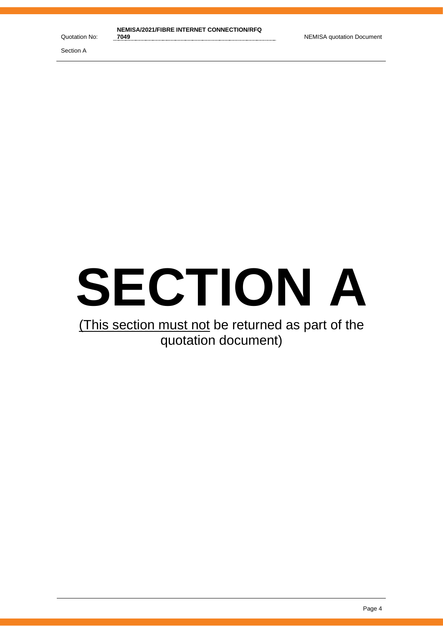# **SECTION A**

# (This section must not be returned as part of the quotation document)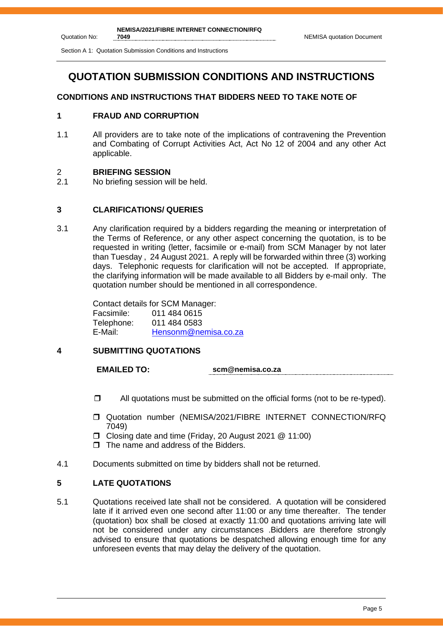Section A 1: Quotation Submission Conditions and Instructions

# **QUOTATION SUBMISSION CONDITIONS AND INSTRUCTIONS**

# **CONDITIONS AND INSTRUCTIONS THAT BIDDERS NEED TO TAKE NOTE OF**

# **1 FRAUD AND CORRUPTION**

1.1 All providers are to take note of the implications of contravening the Prevention and Combating of Corrupt Activities Act, Act No 12 of 2004 and any other Act applicable.

## 2 **BRIEFING SESSION**

Quotation No:

2.1 No briefing session will be held.

# **3 CLARIFICATIONS/ QUERIES**

3.1 Any clarification required by a bidders regarding the meaning or interpretation of the Terms of Reference, or any other aspect concerning the quotation, is to be requested in writing (letter, facsimile or e-mail) from SCM Manager by not later than Tuesday , 24 August 2021. A reply will be forwarded within three (3) working days. Telephonic requests for clarification will not be accepted. If appropriate, the clarifying information will be made available to all Bidders by e-mail only. The quotation number should be mentioned in all correspondence.

> Contact details for SCM Manager: Facsimile: 011 484 0615 Telephone: 011 484 0583 E-Mail: [Hensonm@nemisa.co.za](mailto:Hensonm@nemisa.co.za)

# **4 SUBMITTING QUOTATIONS**

**EMAILED TO: scm@nemisa.co.za**

- $\Box$  All quotations must be submitted on the official forms (not to be re-typed).
- Quotation number (NEMISA/2021/FIBRE INTERNET CONNECTION/RFQ 7049)
- Closing date and time (Friday, 20 August 2021 @ 11:00)
- $\Box$  The name and address of the Bidders.
- 4.1 Documents submitted on time by bidders shall not be returned.

# **5 LATE QUOTATIONS**

5.1 Quotations received late shall not be considered. A quotation will be considered late if it arrived even one second after 11:00 or any time thereafter. The tender (quotation) box shall be closed at exactly 11:00 and quotations arriving late will not be considered under any circumstances .Bidders are therefore strongly advised to ensure that quotations be despatched allowing enough time for any unforeseen events that may delay the delivery of the quotation.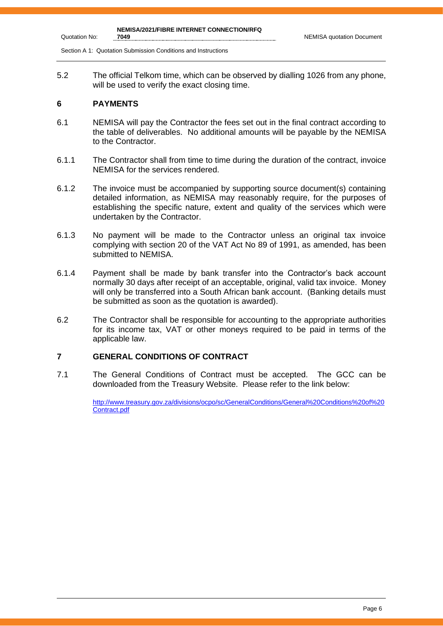Section A 1: Quotation Submission Conditions and Instructions

5.2 The official Telkom time, which can be observed by dialling 1026 from any phone, will be used to verify the exact closing time.

#### **6 PAYMENTS**

Quotation No:

- 6.1 NEMISA will pay the Contractor the fees set out in the final contract according to the table of deliverables. No additional amounts will be payable by the NEMISA to the Contractor.
- 6.1.1 The Contractor shall from time to time during the duration of the contract, invoice NEMISA for the services rendered.
- 6.1.2 The invoice must be accompanied by supporting source document(s) containing detailed information, as NEMISA may reasonably require, for the purposes of establishing the specific nature, extent and quality of the services which were undertaken by the Contractor.
- 6.1.3 No payment will be made to the Contractor unless an original tax invoice complying with section 20 of the VAT Act No 89 of 1991, as amended, has been submitted to NEMISA.
- 6.1.4 Payment shall be made by bank transfer into the Contractor's back account normally 30 days after receipt of an acceptable, original, valid tax invoice. Money will only be transferred into a South African bank account. (Banking details must be submitted as soon as the quotation is awarded).
- 6.2 The Contractor shall be responsible for accounting to the appropriate authorities for its income tax, VAT or other moneys required to be paid in terms of the applicable law.

### **7 GENERAL CONDITIONS OF CONTRACT**

7.1 The General Conditions of Contract must be accepted. The GCC can be downloaded from the Treasury Website. Please refer to the link below:

> [http://www.treasury.gov.za/divisions/ocpo/sc/GeneralConditions/General%20Conditions%20of%20](http://www.treasury.gov.za/divisions/ocpo/sc/GeneralConditions/General%20Conditions%20of%20Contract.pdf) [Contract.pdf](http://www.treasury.gov.za/divisions/ocpo/sc/GeneralConditions/General%20Conditions%20of%20Contract.pdf)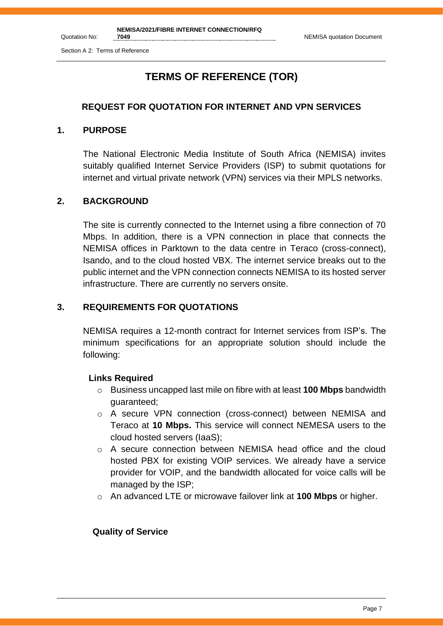Section A 2: Terms of Reference

Quotation No:

# **TERMS OF REFERENCE (TOR)**

## **REQUEST FOR QUOTATION FOR INTERNET AND VPN SERVICES**

## **1. PURPOSE**

The National Electronic Media Institute of South Africa (NEMISA) invites suitably qualified Internet Service Providers (ISP) to submit quotations for internet and virtual private network (VPN) services via their MPLS networks.

## **2. BACKGROUND**

The site is currently connected to the Internet using a fibre connection of 70 Mbps. In addition, there is a VPN connection in place that connects the NEMISA offices in Parktown to the data centre in Teraco (cross-connect), Isando, and to the cloud hosted VBX. The internet service breaks out to the public internet and the VPN connection connects NEMISA to its hosted server infrastructure. There are currently no servers onsite.

## **3. REQUIREMENTS FOR QUOTATIONS**

NEMISA requires a 12-month contract for Internet services from ISP's. The minimum specifications for an appropriate solution should include the following:

## **Links Required**

- o Business uncapped last mile on fibre with at least **100 Mbps** bandwidth guaranteed;
- o A secure VPN connection (cross-connect) between NEMISA and Teraco at **10 Mbps.** This service will connect NEMESA users to the cloud hosted servers (IaaS);
- $\circ$  A secure connection between NEMISA head office and the cloud hosted PBX for existing VOIP services. We already have a service provider for VOIP, and the bandwidth allocated for voice calls will be managed by the ISP;
- o An advanced LTE or microwave failover link at **100 Mbps** or higher.

## **Quality of Service**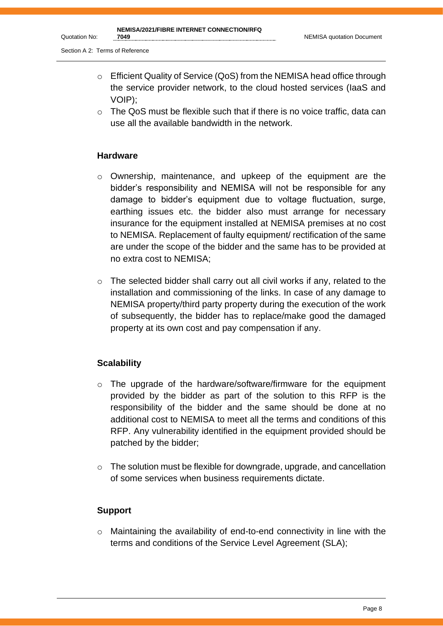Quotation No:

- o Efficient Quality of Service (QoS) from the NEMISA head office through the service provider network, to the cloud hosted services (IaaS and VOIP);
- o The QoS must be flexible such that if there is no voice traffic, data can use all the available bandwidth in the network.

## **Hardware**

- o Ownership, maintenance, and upkeep of the equipment are the bidder's responsibility and NEMISA will not be responsible for any damage to bidder's equipment due to voltage fluctuation, surge, earthing issues etc. the bidder also must arrange for necessary insurance for the equipment installed at NEMISA premises at no cost to NEMISA. Replacement of faulty equipment/ rectification of the same are under the scope of the bidder and the same has to be provided at no extra cost to NEMISA;
- $\circ$  The selected bidder shall carry out all civil works if any, related to the installation and commissioning of the links. In case of any damage to NEMISA property/third party property during the execution of the work of subsequently, the bidder has to replace/make good the damaged property at its own cost and pay compensation if any.

# **Scalability**

- o The upgrade of the hardware/software/firmware for the equipment provided by the bidder as part of the solution to this RFP is the responsibility of the bidder and the same should be done at no additional cost to NEMISA to meet all the terms and conditions of this RFP. Any vulnerability identified in the equipment provided should be patched by the bidder;
- o The solution must be flexible for downgrade, upgrade, and cancellation of some services when business requirements dictate.

# **Support**

o Maintaining the availability of end-to-end connectivity in line with the terms and conditions of the Service Level Agreement (SLA);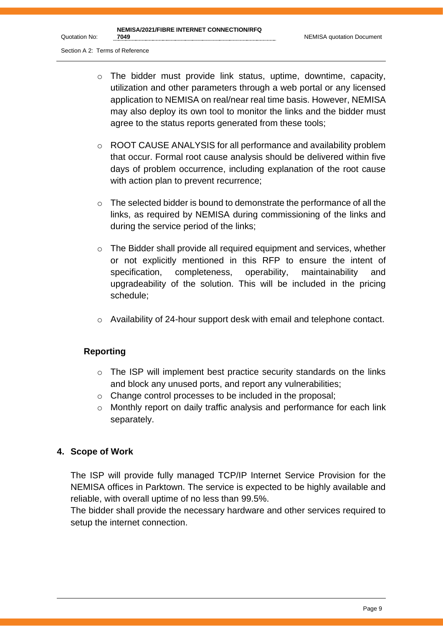Section A 2: Terms of Reference

Quotation No:

- o The bidder must provide link status, uptime, downtime, capacity, utilization and other parameters through a web portal or any licensed application to NEMISA on real/near real time basis. However, NEMISA may also deploy its own tool to monitor the links and the bidder must agree to the status reports generated from these tools;
- o ROOT CAUSE ANALYSIS for all performance and availability problem that occur. Formal root cause analysis should be delivered within five days of problem occurrence, including explanation of the root cause with action plan to prevent recurrence;
- o The selected bidder is bound to demonstrate the performance of all the links, as required by NEMISA during commissioning of the links and during the service period of the links;
- o The Bidder shall provide all required equipment and services, whether or not explicitly mentioned in this RFP to ensure the intent of specification, completeness, operability, maintainability and upgradeability of the solution. This will be included in the pricing schedule;
- o Availability of 24-hour support desk with email and telephone contact.

# **Reporting**

- o The ISP will implement best practice security standards on the links and block any unused ports, and report any vulnerabilities;
- o Change control processes to be included in the proposal;
- o Monthly report on daily traffic analysis and performance for each link separately.

## **4. Scope of Work**

The ISP will provide fully managed TCP/IP Internet Service Provision for the NEMISA offices in Parktown. The service is expected to be highly available and reliable, with overall uptime of no less than 99.5%.

The bidder shall provide the necessary hardware and other services required to setup the internet connection.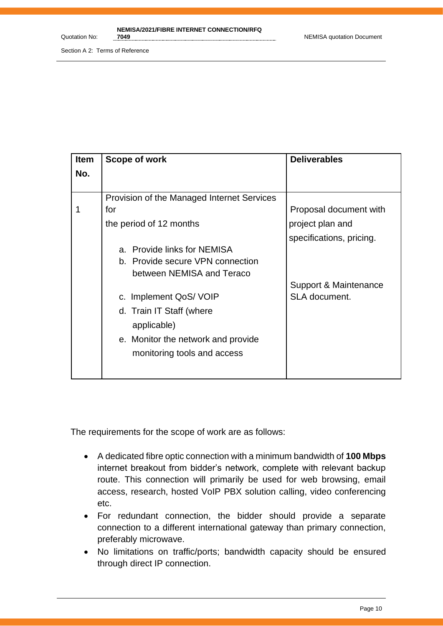**7049** NEMISA quotation Document

Section A 2: Terms of Reference

Quotation No:

| <b>Item</b> | Scope of work                              | <b>Deliverables</b>      |
|-------------|--------------------------------------------|--------------------------|
| No.         |                                            |                          |
|             |                                            |                          |
|             | Provision of the Managed Internet Services |                          |
|             | for                                        | Proposal document with   |
|             | the period of 12 months                    | project plan and         |
|             |                                            | specifications, pricing. |
|             | a. Provide links for NEMISA                |                          |
|             | b. Provide secure VPN connection           |                          |
|             | between NEMISA and Teraco                  |                          |
|             |                                            | Support & Maintenance    |
|             | c. Implement QoS/ VOIP                     | SLA document.            |
|             | d. Train IT Staff (where                   |                          |
|             | applicable)                                |                          |
|             | e. Monitor the network and provide         |                          |
|             | monitoring tools and access                |                          |
|             |                                            |                          |
|             |                                            |                          |

The requirements for the scope of work are as follows:

- A dedicated fibre optic connection with a minimum bandwidth of **100 Mbps** internet breakout from bidder's network, complete with relevant backup route. This connection will primarily be used for web browsing, email access, research, hosted VoIP PBX solution calling, video conferencing etc.
- For redundant connection, the bidder should provide a separate connection to a different international gateway than primary connection, preferably microwave.
- No limitations on traffic/ports; bandwidth capacity should be ensured through direct IP connection.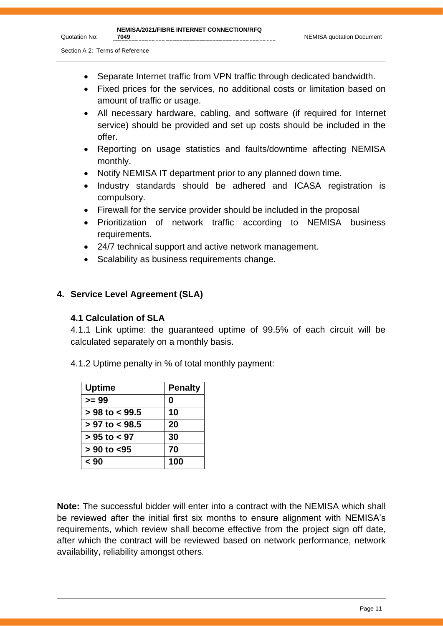- Separate Internet traffic from VPN traffic through dedicated bandwidth.
- Fixed prices for the services, no additional costs or limitation based on amount of traffic or usage.
- All necessary hardware, cabling, and software (if required for Internet service) should be provided and set up costs should be included in the offer.
- Reporting on usage statistics and faults/downtime affecting NEMISA monthly.
- Notify NEMISA IT department prior to any planned down time.
- Industry standards should be adhered and ICASA registration is compulsory.
- Firewall for the service provider should be included in the proposal
- Prioritization of network traffic according to NEMISA business requirements.
- 24/7 technical support and active network management.
- Scalability as business requirements change.

## **4. Service Level Agreement (SLA)**

## **4.1 Calculation of SLA**

4.1.1 Link uptime: the guaranteed uptime of 99.5% of each circuit will be calculated separately on a monthly basis.

4.1.2 Uptime penalty in % of total monthly payment:

| <b>Uptime</b>      | <b>Penalty</b> |
|--------------------|----------------|
| $>= 99$            | 0              |
| $> 98$ to $< 99.5$ | 10             |
| $> 97$ to $< 98.5$ | 20             |
| $> 95$ to $< 97$   | 30             |
| $> 90$ to $< 95$   | 70             |
| < 90               | 100            |

**Note:** The successful bidder will enter into a contract with the NEMISA which shall be reviewed after the initial first six months to ensure alignment with NEMISA's requirements, which review shall become effective from the project sign off date, after which the contract will be reviewed based on network performance, network availability, reliability amongst others.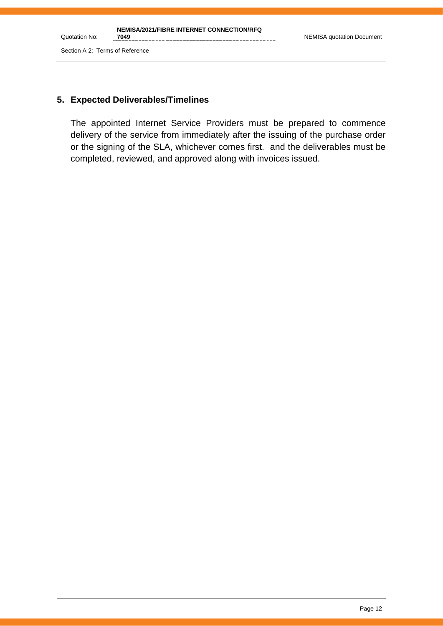Quotation No:

# **5. Expected Deliverables/Timelines**

The appointed Internet Service Providers must be prepared to commence delivery of the service from immediately after the issuing of the purchase order or the signing of the SLA, whichever comes first. and the deliverables must be completed, reviewed, and approved along with invoices issued.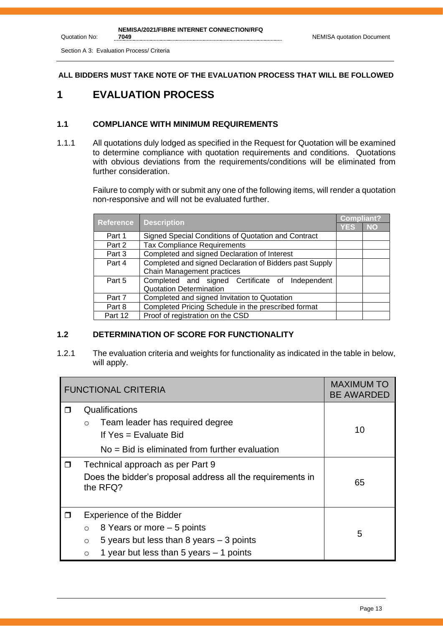Section A 3: Evaluation Process/ Criteria

Quotation No:

#### **ALL BIDDERS MUST TAKE NOTE OF THE EVALUATION PROCESS THAT WILL BE FOLLOWED**

# **1 EVALUATION PROCESS**

#### **1.1 COMPLIANCE WITH MINIMUM REQUIREMENTS**

1.1.1 All quotations duly lodged as specified in the Request for Quotation will be examined to determine compliance with quotation requirements and conditions. Quotations with obvious deviations from the requirements/conditions will be eliminated from further consideration.

> Failure to comply with or submit any one of the following items, will render a quotation non-responsive and will not be evaluated further.

| <b>Reference</b> |                                                         |            | <b>Compliant?</b> |
|------------------|---------------------------------------------------------|------------|-------------------|
|                  | <b>Description</b>                                      | <b>YES</b> | <b>NO</b>         |
| Part 1           | Signed Special Conditions of Quotation and Contract     |            |                   |
| Part 2           | <b>Tax Compliance Requirements</b>                      |            |                   |
| Part 3           | Completed and signed Declaration of Interest            |            |                   |
| Part 4           | Completed and signed Declaration of Bidders past Supply |            |                   |
|                  | Chain Management practices                              |            |                   |
| Part 5           | Completed and signed Certificate of Independent         |            |                   |
|                  | <b>Quotation Determination</b>                          |            |                   |
| Part 7           | Completed and signed Invitation to Quotation            |            |                   |
| Part 8           | Completed Pricing Schedule in the prescribed format     |            |                   |
| Part 12          | Proof of registration on the CSD                        |            |                   |

## **1.2 DETERMINATION OF SCORE FOR FUNCTIONALITY**

1.2.1 The evaluation criteria and weights for functionality as indicated in the table in below, will apply.

|        | <b>FUNCTIONAL CRITERIA</b>                                                                                                                                                                | <b>MAXIMUM TO</b><br><b>BE AWARDED</b> |
|--------|-------------------------------------------------------------------------------------------------------------------------------------------------------------------------------------------|----------------------------------------|
| $\Box$ | Qualifications<br>Team leader has required degree<br>$\circ$<br>If $Yes = Evaluate Bid$<br>$No = Bid$ is eliminated from further evaluation                                               | 10                                     |
| $\Box$ | Technical approach as per Part 9<br>Does the bidder's proposal address all the requirements in<br>the RFQ?                                                                                | 65                                     |
| $\Box$ | <b>Experience of the Bidder</b><br>8 Years or more – 5 points<br>$\circ$<br>5 years but less than 8 years $-$ 3 points<br>$\circ$<br>1 year but less than 5 years $-$ 1 points<br>$\circ$ | 5                                      |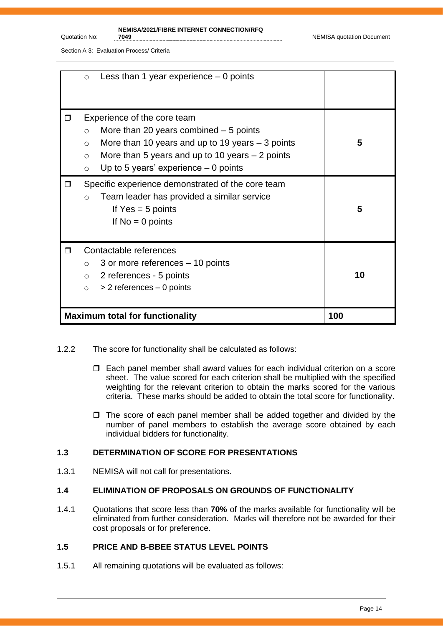Section A 3: Evaluation Process/ Criteria

|        | Less than 1 year experience $-0$ points<br>$\circ$                                                                                                                                                                                                                   |     |
|--------|----------------------------------------------------------------------------------------------------------------------------------------------------------------------------------------------------------------------------------------------------------------------|-----|
| $\Box$ | Experience of the core team<br>More than 20 years combined $-5$ points<br>$\circ$<br>More than 10 years and up to 19 years $-3$ points<br>$\circ$<br>More than 5 years and up to 10 years $-2$ points<br>$\circ$<br>Up to 5 years' experience $-0$ points<br>$\circ$ | 5   |
| $\Box$ | Specific experience demonstrated of the core team<br>Team leader has provided a similar service<br>$\bigcirc$<br>If $Yes = 5 points$<br>If $No = 0$ points                                                                                                           | 5   |
| $\Box$ | Contactable references<br>3 or more references - 10 points<br>$\circ$<br>2 references - 5 points<br>$\circ$<br>$> 2$ references $- 0$ points<br>$\circ$                                                                                                              | 10  |
|        | <b>Maximum total for functionality</b>                                                                                                                                                                                                                               | 100 |

- 1.2.2 The score for functionality shall be calculated as follows:
	- Each panel member shall award values for each individual criterion on a score sheet. The value scored for each criterion shall be multiplied with the specified weighting for the relevant criterion to obtain the marks scored for the various criteria. These marks should be added to obtain the total score for functionality.
	- $\Box$  The score of each panel member shall be added together and divided by the number of panel members to establish the average score obtained by each individual bidders for functionality.

## **1.3 DETERMINATION OF SCORE FOR PRESENTATIONS**

1.3.1 NEMISA will not call for presentations.

#### **1.4 ELIMINATION OF PROPOSALS ON GROUNDS OF FUNCTIONALITY**

1.4.1 Quotations that score less than **70%** of the marks available for functionality will be eliminated from further consideration. Marks will therefore not be awarded for their cost proposals or for preference.

#### **1.5 PRICE AND B-BBEE STATUS LEVEL POINTS**

1.5.1 All remaining quotations will be evaluated as follows: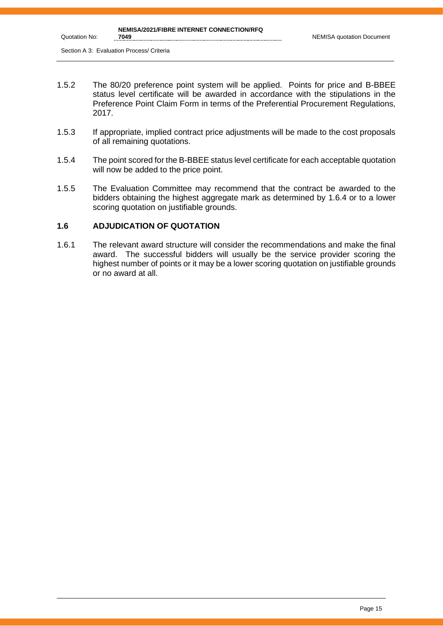Section A 3: Evaluation Process/ Criteria

Quotation No:

- 1.5.2 The 80/20 preference point system will be applied. Points for price and B-BBEE status level certificate will be awarded in accordance with the stipulations in the Preference Point Claim Form in terms of the Preferential Procurement Regulations, 2017.
- 1.5.3 If appropriate, implied contract price adjustments will be made to the cost proposals of all remaining quotations.
- 1.5.4 The point scored for the B-BBEE status level certificate for each acceptable quotation will now be added to the price point.
- 1.5.5 The Evaluation Committee may recommend that the contract be awarded to the bidders obtaining the highest aggregate mark as determined by 1.6.4 or to a lower scoring quotation on justifiable grounds.

#### **1.6 ADJUDICATION OF QUOTATION**

1.6.1 The relevant award structure will consider the recommendations and make the final award. The successful bidders will usually be the service provider scoring the highest number of points or it may be a lower scoring quotation on justifiable grounds or no award at all.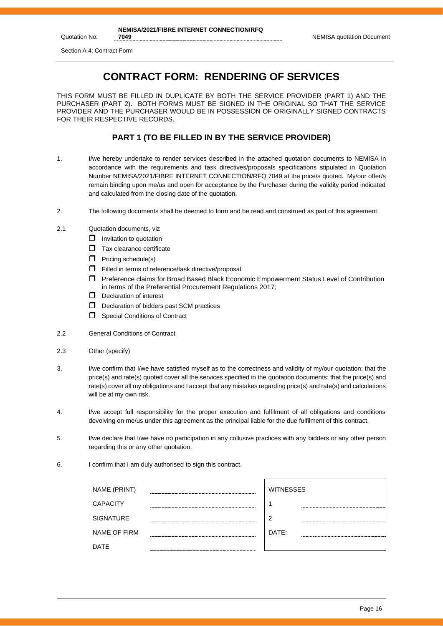Section A 4: Contract Form

# **CONTRACT FORM: RENDERING OF SERVICES**

THIS FORM MUST BE FILLED IN DUPLICATE BY BOTH THE SERVICE PROVIDER (PART 1) AND THE PURCHASER (PART 2). BOTH FORMS MUST BE SIGNED IN THE ORIGINAL SO THAT THE SERVICE PROVIDER AND THE PURCHASER WOULD BE IN POSSESSION OF ORIGINALLY SIGNED CONTRACTS FOR THEIR RESPECTIVE RECORDS.

#### **PART 1 (TO BE FILLED IN BY THE SERVICE PROVIDER)**

- 1. I/we hereby undertake to render services described in the attached quotation documents to NEMISA in accordance with the requirements and task directives/proposals specifications stipulated in Quotation Number NEMISA/2021/FIBRE INTERNET CONNECTION/RFQ 7049 at the price/s quoted. My/our offer/s remain binding upon me/us and open for acceptance by the Purchaser during the validity period indicated and calculated from the closing date of the quotation.
- 2. The following documents shall be deemed to form and be read and construed as part of this agreement:
- 2.1 Quotation documents, viz
	- $\Box$  Invitation to quotation
	- $\Box$  Tax clearance certificate
	- $\Box$  Pricing schedule(s)
	- $\Box$  Filled in terms of reference/task directive/proposal
	- Preference claims for Broad Based Black Economic Empowerment Status Level of Contribution in terms of the Preferential Procurement Regulations 2017;
	- $\Box$  Declaration of interest
	- D Declaration of bidders past SCM practices
	- Special Conditions of Contract
- 2.2 General Conditions of Contract
- 2.3 Other (specify)
- 3. I/we confirm that I/we have satisfied myself as to the correctness and validity of my/our quotation; that the price(s) and rate(s) quoted cover all the services specified in the quotation documents; that the price(s) and rate(s) cover all my obligations and I accept that any mistakes regarding price(s) and rate(s) and calculations will be at my own risk.
- 4. I/we accept full responsibility for the proper execution and fulfilment of all obligations and conditions devolving on me/us under this agreement as the principal liable for the due fulfilment of this contract.
- 5. I/we declare that I/we have no participation in any collusive practices with any bidders or any other person regarding this or any other quotation.
- 6. I confirm that I am duly authorised to sign this contract.

| NAME (PRINT)        | <b>WITNESSES</b> |
|---------------------|------------------|
| <b>CAPACITY</b>     |                  |
| <b>SIGNATURE</b>    | ◠                |
| <b>NAME OF FIRM</b> | DATE:            |
| <b>DATE</b>         |                  |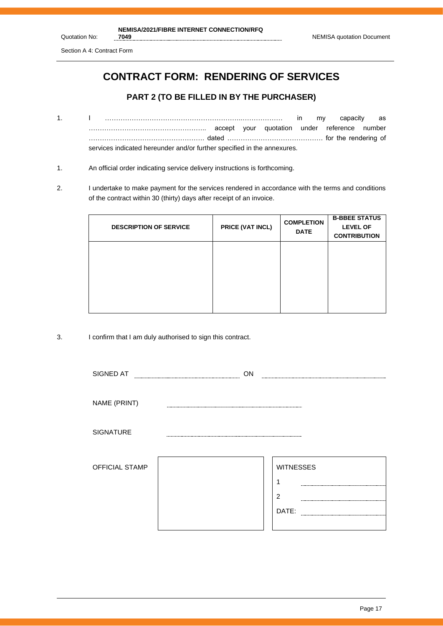Section A 4: Contract Form

Quotation No:

# **CONTRACT FORM: RENDERING OF SERVICES**

## **PART 2 (TO BE FILLED IN BY THE PURCHASER)**

- 1. I ……………………………………………………..……………… in my capacity as …………………………………………….. accept your quotation under reference number ……………………………………………. dated ……………………………………. for the rendering of services indicated hereunder and/or further specified in the annexures.
- 1. An official order indicating service delivery instructions is forthcoming.
- 2. I undertake to make payment for the services rendered in accordance with the terms and conditions of the contract within 30 (thirty) days after receipt of an invoice.

| <b>DESCRIPTION OF SERVICE</b> | PRICE (VAT INCL) | <b>COMPLETION</b><br><b>DATE</b> | <b>B-BBEE STATUS</b><br><b>LEVEL OF</b><br><b>CONTRIBUTION</b> |
|-------------------------------|------------------|----------------------------------|----------------------------------------------------------------|
|                               |                  |                                  |                                                                |
|                               |                  |                                  |                                                                |

3. I confirm that I am duly authorised to sign this contract.

| SIGNED AT             | ON |                  |
|-----------------------|----|------------------|
|                       |    |                  |
| NAME (PRINT)          |    |                  |
|                       |    |                  |
| <b>SIGNATURE</b>      |    |                  |
|                       |    |                  |
| <b>OFFICIAL STAMP</b> |    | <b>WITNESSES</b> |
|                       |    |                  |
|                       |    | $\overline{2}$   |
|                       |    | DATE:            |
|                       |    |                  |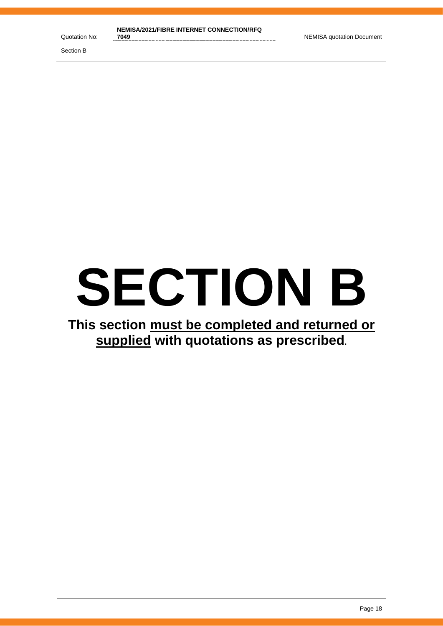# **SECTION B**

# **This section must be completed and returned or supplied with quotations as prescribed.**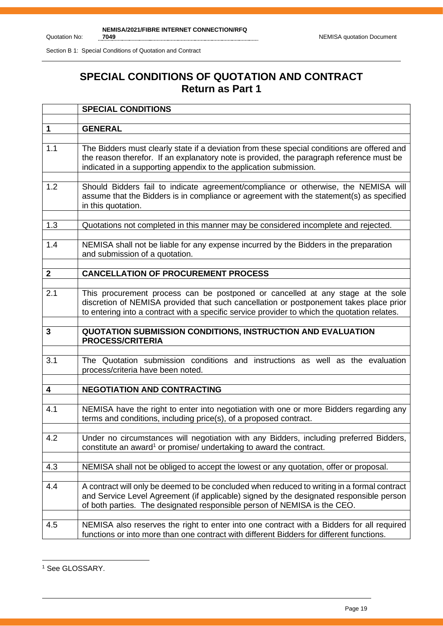Section B 1: Special Conditions of Quotation and Contract

# **SPECIAL CONDITIONS OF QUOTATION AND CONTRACT Return as Part 1**

|              | <b>SPECIAL CONDITIONS</b>                                                                                                                                                                                                                                                 |
|--------------|---------------------------------------------------------------------------------------------------------------------------------------------------------------------------------------------------------------------------------------------------------------------------|
|              |                                                                                                                                                                                                                                                                           |
| $\mathbf 1$  | <b>GENERAL</b>                                                                                                                                                                                                                                                            |
| 1.1          | The Bidders must clearly state if a deviation from these special conditions are offered and<br>the reason therefor. If an explanatory note is provided, the paragraph reference must be<br>indicated in a supporting appendix to the application submission.              |
| 1.2          | Should Bidders fail to indicate agreement/compliance or otherwise, the NEMISA will<br>assume that the Bidders is in compliance or agreement with the statement(s) as specified<br>in this quotation.                                                                      |
| 1.3          | Quotations not completed in this manner may be considered incomplete and rejected.                                                                                                                                                                                        |
| 1.4          | NEMISA shall not be liable for any expense incurred by the Bidders in the preparation<br>and submission of a quotation.                                                                                                                                                   |
| $\mathbf{2}$ | <b>CANCELLATION OF PROCUREMENT PROCESS</b>                                                                                                                                                                                                                                |
|              |                                                                                                                                                                                                                                                                           |
| 2.1          | This procurement process can be postponed or cancelled at any stage at the sole<br>discretion of NEMISA provided that such cancellation or postponement takes place prior<br>to entering into a contract with a specific service provider to which the quotation relates. |
|              |                                                                                                                                                                                                                                                                           |
| 3            | QUOTATION SUBMISSION CONDITIONS, INSTRUCTION AND EVALUATION<br><b>PROCESS/CRITERIA</b>                                                                                                                                                                                    |
| 3.1          |                                                                                                                                                                                                                                                                           |
|              | The Quotation submission conditions and instructions as well as the evaluation<br>process/criteria have been noted.                                                                                                                                                       |
| 4            | <b>NEGOTIATION AND CONTRACTING</b>                                                                                                                                                                                                                                        |
|              |                                                                                                                                                                                                                                                                           |
| 4.1          | NEMISA have the right to enter into negotiation with one or more Bidders regarding any<br>terms and conditions, including price(s), of a proposed contract.                                                                                                               |
| 4.2          | Under no circumstances will negotiation with any Bidders, including preferred Bidders,<br>constitute an award <sup>1</sup> or promise/ undertaking to award the contract.                                                                                                 |
| 4.3          | NEMISA shall not be obliged to accept the lowest or any quotation, offer or proposal.                                                                                                                                                                                     |
| 4.4          | A contract will only be deemed to be concluded when reduced to writing in a formal contract<br>and Service Level Agreement (if applicable) signed by the designated responsible person<br>of both parties. The designated responsible person of NEMISA is the CEO.        |
| 4.5          | NEMISA also reserves the right to enter into one contract with a Bidders for all required<br>functions or into more than one contract with different Bidders for different functions.                                                                                     |

<sup>&</sup>lt;sup>1</sup> See GLOSSARY.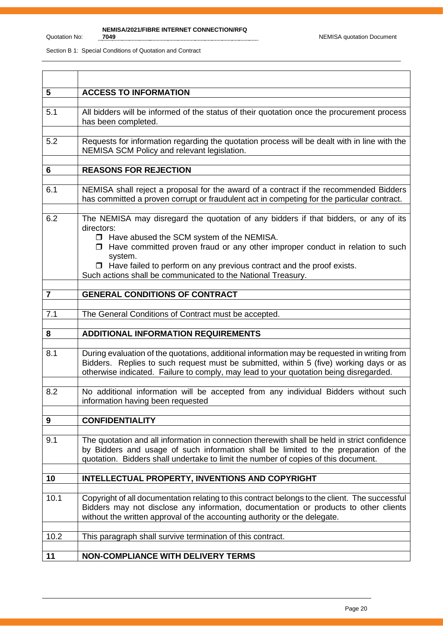| 5    | <b>ACCESS TO INFORMATION</b>                                                                                                                                                                                                                                                                                                                                                                         |
|------|------------------------------------------------------------------------------------------------------------------------------------------------------------------------------------------------------------------------------------------------------------------------------------------------------------------------------------------------------------------------------------------------------|
| 5.1  | All bidders will be informed of the status of their quotation once the procurement process<br>has been completed.                                                                                                                                                                                                                                                                                    |
| 5.2  | Requests for information regarding the quotation process will be dealt with in line with the<br>NEMISA SCM Policy and relevant legislation.                                                                                                                                                                                                                                                          |
| 6    | <b>REASONS FOR REJECTION</b>                                                                                                                                                                                                                                                                                                                                                                         |
|      |                                                                                                                                                                                                                                                                                                                                                                                                      |
| 6.1  | NEMISA shall reject a proposal for the award of a contract if the recommended Bidders<br>has committed a proven corrupt or fraudulent act in competing for the particular contract.                                                                                                                                                                                                                  |
| 6.2  | The NEMISA may disregard the quotation of any bidders if that bidders, or any of its<br>directors:<br>□ Have abused the SCM system of the NEMISA.<br>$\Box$ Have committed proven fraud or any other improper conduct in relation to such<br>system.<br>$\Box$ Have failed to perform on any previous contract and the proof exists.<br>Such actions shall be communicated to the National Treasury. |
| 7    | <b>GENERAL CONDITIONS OF CONTRACT</b>                                                                                                                                                                                                                                                                                                                                                                |
|      |                                                                                                                                                                                                                                                                                                                                                                                                      |
| 7.1  | The General Conditions of Contract must be accepted.                                                                                                                                                                                                                                                                                                                                                 |
| 8    | <b>ADDITIONAL INFORMATION REQUIREMENTS</b>                                                                                                                                                                                                                                                                                                                                                           |
| 8.1  | During evaluation of the quotations, additional information may be requested in writing from<br>Bidders. Replies to such request must be submitted, within 5 (five) working days or as<br>otherwise indicated. Failure to comply, may lead to your quotation being disregarded.                                                                                                                      |
| 8.2  | No additional information will be accepted from any individual Bidders without such<br>information having been requested                                                                                                                                                                                                                                                                             |
| 9    | <b>CONFIDENTIALITY</b>                                                                                                                                                                                                                                                                                                                                                                               |
|      |                                                                                                                                                                                                                                                                                                                                                                                                      |
| 9.1  | The quotation and all information in connection therewith shall be held in strict confidence<br>by Bidders and usage of such information shall be limited to the preparation of the<br>quotation. Bidders shall undertake to limit the number of copies of this document.                                                                                                                            |
| 10   | INTELLECTUAL PROPERTY, INVENTIONS AND COPYRIGHT                                                                                                                                                                                                                                                                                                                                                      |
|      |                                                                                                                                                                                                                                                                                                                                                                                                      |
| 10.1 | Copyright of all documentation relating to this contract belongs to the client. The successful<br>Bidders may not disclose any information, documentation or products to other clients<br>without the written approval of the accounting authority or the delegate.                                                                                                                                  |
| 10.2 | This paragraph shall survive termination of this contract.                                                                                                                                                                                                                                                                                                                                           |
|      |                                                                                                                                                                                                                                                                                                                                                                                                      |
| 11   | <b>NON-COMPLIANCE WITH DELIVERY TERMS</b>                                                                                                                                                                                                                                                                                                                                                            |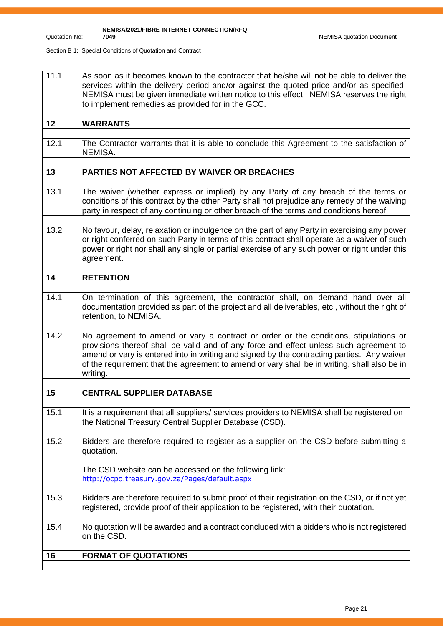**1049** NEMISA quotation Document

| 11.1 | As soon as it becomes known to the contractor that he/she will not be able to deliver the<br>services within the delivery period and/or against the quoted price and/or as specified,<br>NEMISA must be given immediate written notice to this effect. NEMISA reserves the right<br>to implement remedies as provided for in the GCC.                                                    |
|------|------------------------------------------------------------------------------------------------------------------------------------------------------------------------------------------------------------------------------------------------------------------------------------------------------------------------------------------------------------------------------------------|
| 12   | <b>WARRANTS</b>                                                                                                                                                                                                                                                                                                                                                                          |
|      |                                                                                                                                                                                                                                                                                                                                                                                          |
| 12.1 | The Contractor warrants that it is able to conclude this Agreement to the satisfaction of<br>NEMISA.                                                                                                                                                                                                                                                                                     |
| 13   | PARTIES NOT AFFECTED BY WAIVER OR BREACHES                                                                                                                                                                                                                                                                                                                                               |
|      |                                                                                                                                                                                                                                                                                                                                                                                          |
| 13.1 | The waiver (whether express or implied) by any Party of any breach of the terms or<br>conditions of this contract by the other Party shall not prejudice any remedy of the waiving<br>party in respect of any continuing or other breach of the terms and conditions hereof.                                                                                                             |
| 13.2 | No favour, delay, relaxation or indulgence on the part of any Party in exercising any power<br>or right conferred on such Party in terms of this contract shall operate as a waiver of such<br>power or right nor shall any single or partial exercise of any such power or right under this<br>agreement.                                                                               |
|      |                                                                                                                                                                                                                                                                                                                                                                                          |
| 14   | <b>RETENTION</b>                                                                                                                                                                                                                                                                                                                                                                         |
| 14.1 | On termination of this agreement, the contractor shall, on demand hand over all<br>documentation provided as part of the project and all deliverables, etc., without the right of<br>retention, to NEMISA.                                                                                                                                                                               |
| 14.2 | No agreement to amend or vary a contract or order or the conditions, stipulations or<br>provisions thereof shall be valid and of any force and effect unless such agreement to<br>amend or vary is entered into in writing and signed by the contracting parties. Any waiver<br>of the requirement that the agreement to amend or vary shall be in writing, shall also be in<br>writing. |
|      |                                                                                                                                                                                                                                                                                                                                                                                          |
| 15   | <b>CENTRAL SUPPLIER DATABASE</b>                                                                                                                                                                                                                                                                                                                                                         |
| 15.1 | It is a requirement that all suppliers/ services providers to NEMISA shall be registered on<br>the National Treasury Central Supplier Database (CSD).                                                                                                                                                                                                                                    |
| 15.2 | Bidders are therefore required to register as a supplier on the CSD before submitting a<br>quotation.<br>The CSD website can be accessed on the following link:<br>http://ocpo.treasury.gov.za/Pages/default.aspx                                                                                                                                                                        |
|      |                                                                                                                                                                                                                                                                                                                                                                                          |
| 15.3 | Bidders are therefore required to submit proof of their registration on the CSD, or if not yet<br>registered, provide proof of their application to be registered, with their quotation.                                                                                                                                                                                                 |
| 15.4 | No quotation will be awarded and a contract concluded with a bidders who is not registered<br>on the CSD.                                                                                                                                                                                                                                                                                |
|      |                                                                                                                                                                                                                                                                                                                                                                                          |
| 16   | <b>FORMAT OF QUOTATIONS</b>                                                                                                                                                                                                                                                                                                                                                              |
|      |                                                                                                                                                                                                                                                                                                                                                                                          |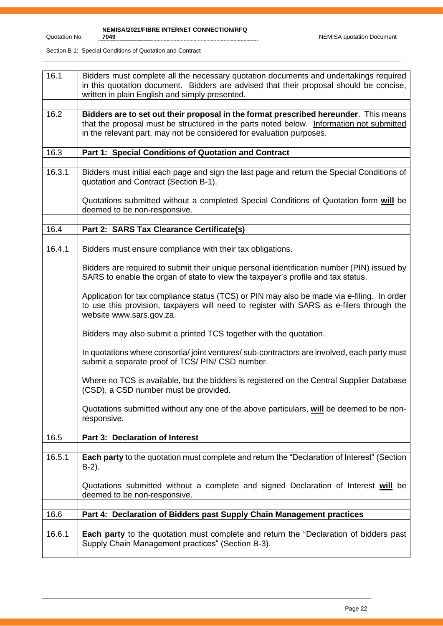| 16.1   | Bidders must complete all the necessary quotation documents and undertakings required<br>in this quotation document. Bidders are advised that their proposal should be concise,<br>written in plain English and simply presented.                        |
|--------|----------------------------------------------------------------------------------------------------------------------------------------------------------------------------------------------------------------------------------------------------------|
|        |                                                                                                                                                                                                                                                          |
| 16.2   | Bidders are to set out their proposal in the format prescribed hereunder. This means<br>that the proposal must be structured in the parts noted below. Information not submitted<br>in the relevant part, may not be considered for evaluation purposes. |
|        |                                                                                                                                                                                                                                                          |
| 16.3   | Part 1: Special Conditions of Quotation and Contract                                                                                                                                                                                                     |
| 16.3.1 | Bidders must initial each page and sign the last page and return the Special Conditions of<br>quotation and Contract (Section B-1).                                                                                                                      |
|        | Quotations submitted without a completed Special Conditions of Quotation form will be<br>deemed to be non-responsive.                                                                                                                                    |
|        |                                                                                                                                                                                                                                                          |
| 16.4   | Part 2: SARS Tax Clearance Certificate(s)                                                                                                                                                                                                                |
|        |                                                                                                                                                                                                                                                          |
| 16.4.1 | Bidders must ensure compliance with their tax obligations.                                                                                                                                                                                               |
|        | Bidders are required to submit their unique personal identification number (PIN) issued by<br>SARS to enable the organ of state to view the taxpayer's profile and tax status.                                                                           |
|        | Application for tax compliance status (TCS) or PIN may also be made via e-filing. In order<br>to use this provision, taxpayers will need to register with SARS as e-filers through the<br>website www.sars.gov.za.                                       |
|        | Bidders may also submit a printed TCS together with the quotation.                                                                                                                                                                                       |
|        | In quotations where consortia/joint ventures/sub-contractors are involved, each party must<br>submit a separate proof of TCS/ PIN/ CSD number.                                                                                                           |
|        | Where no TCS is available, but the bidders is registered on the Central Supplier Database<br>(CSD), a CSD number must be provided.                                                                                                                       |
|        | Quotations submitted without any one of the above particulars, will be deemed to be non-<br>responsive.                                                                                                                                                  |
|        |                                                                                                                                                                                                                                                          |
| 16.5   | Part 3: Declaration of Interest                                                                                                                                                                                                                          |
| 16.5.1 | Each party to the quotation must complete and return the "Declaration of Interest" (Section<br>$B-2$ ).                                                                                                                                                  |
|        | Quotations submitted without a complete and signed Declaration of Interest will be<br>deemed to be non-responsive.                                                                                                                                       |
|        |                                                                                                                                                                                                                                                          |
| 16.6   | Part 4: Declaration of Bidders past Supply Chain Management practices                                                                                                                                                                                    |
|        |                                                                                                                                                                                                                                                          |
| 16.6.1 | <b>Each party</b> to the quotation must complete and return the "Declaration of bidders past<br>Supply Chain Management practices" (Section B-3).                                                                                                        |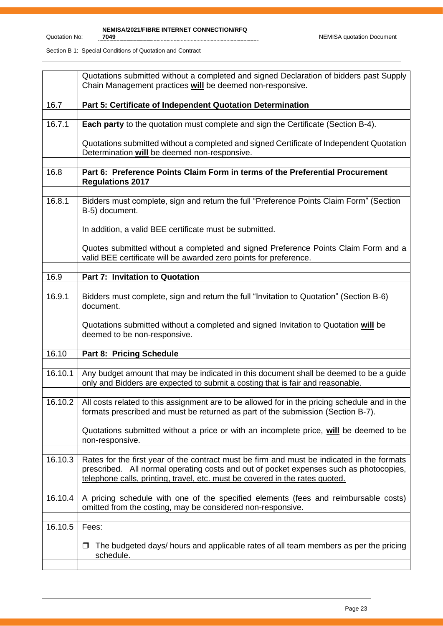|         | Quotations submitted without a completed and signed Declaration of bidders past Supply<br>Chain Management practices will be deemed non-responsive.                                                                                                                  |
|---------|----------------------------------------------------------------------------------------------------------------------------------------------------------------------------------------------------------------------------------------------------------------------|
| 16.7    | Part 5: Certificate of Independent Quotation Determination                                                                                                                                                                                                           |
|         |                                                                                                                                                                                                                                                                      |
| 16.7.1  | Each party to the quotation must complete and sign the Certificate (Section B-4).                                                                                                                                                                                    |
|         | Quotations submitted without a completed and signed Certificate of Independent Quotation<br>Determination will be deemed non-responsive.                                                                                                                             |
| 16.8    | Part 6: Preference Points Claim Form in terms of the Preferential Procurement<br><b>Regulations 2017</b>                                                                                                                                                             |
|         |                                                                                                                                                                                                                                                                      |
| 16.8.1  | Bidders must complete, sign and return the full "Preference Points Claim Form" (Section<br>B-5) document.                                                                                                                                                            |
|         | In addition, a valid BEE certificate must be submitted.                                                                                                                                                                                                              |
|         | Quotes submitted without a completed and signed Preference Points Claim Form and a<br>valid BEE certificate will be awarded zero points for preference.                                                                                                              |
|         |                                                                                                                                                                                                                                                                      |
| 16.9    | <b>Part 7: Invitation to Quotation</b>                                                                                                                                                                                                                               |
| 16.9.1  | Bidders must complete, sign and return the full "Invitation to Quotation" (Section B-6)<br>document.                                                                                                                                                                 |
|         | Quotations submitted without a completed and signed Invitation to Quotation will be<br>deemed to be non-responsive.                                                                                                                                                  |
|         |                                                                                                                                                                                                                                                                      |
| 16.10   | Part 8: Pricing Schedule                                                                                                                                                                                                                                             |
| 16.10.1 | Any budget amount that may be indicated in this document shall be deemed to be a guide<br>only and Bidders are expected to submit a costing that is fair and reasonable.                                                                                             |
| 16.10.2 | All costs related to this assignment are to be allowed for in the pricing schedule and in the<br>formats prescribed and must be returned as part of the submission (Section B-7).                                                                                    |
|         | Quotations submitted without a price or with an incomplete price, will be deemed to be<br>non-responsive.                                                                                                                                                            |
| 16.10.3 | Rates for the first year of the contract must be firm and must be indicated in the formats<br>prescribed. All normal operating costs and out of pocket expenses such as photocopies,<br>telephone calls, printing, travel, etc. must be covered in the rates quoted. |
| 16.10.4 | A pricing schedule with one of the specified elements (fees and reimbursable costs)<br>omitted from the costing, may be considered non-responsive.                                                                                                                   |
| 16.10.5 | Fees:                                                                                                                                                                                                                                                                |
|         |                                                                                                                                                                                                                                                                      |
|         | The budgeted days/ hours and applicable rates of all team members as per the pricing<br>□<br>schedule.                                                                                                                                                               |
|         |                                                                                                                                                                                                                                                                      |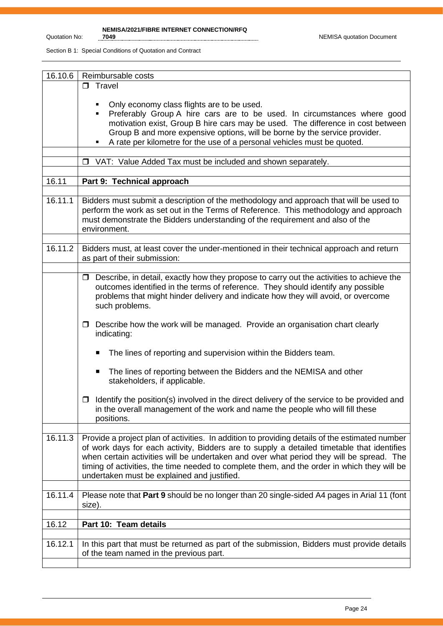**NEMISA/2021/FIBRE INTERNET CONNECTION/RFQ** 

| 16.10.6 | Reimbursable costs                                                                                                                                                                                                                                                                                                                                                                                                                     |  |  |  |  |
|---------|----------------------------------------------------------------------------------------------------------------------------------------------------------------------------------------------------------------------------------------------------------------------------------------------------------------------------------------------------------------------------------------------------------------------------------------|--|--|--|--|
|         | $\Box$ Travel                                                                                                                                                                                                                                                                                                                                                                                                                          |  |  |  |  |
|         | Only economy class flights are to be used.<br>Preferably Group A hire cars are to be used. In circumstances where good<br>$\blacksquare$<br>motivation exist, Group B hire cars may be used. The difference in cost between<br>Group B and more expensive options, will be borne by the service provider.<br>A rate per kilometre for the use of a personal vehicles must be quoted.                                                   |  |  |  |  |
|         | VAT: Value Added Tax must be included and shown separately.<br>□                                                                                                                                                                                                                                                                                                                                                                       |  |  |  |  |
| 16.11   | Part 9: Technical approach                                                                                                                                                                                                                                                                                                                                                                                                             |  |  |  |  |
| 16.11.1 | Bidders must submit a description of the methodology and approach that will be used to<br>perform the work as set out in the Terms of Reference. This methodology and approach<br>must demonstrate the Bidders understanding of the requirement and also of the<br>environment.                                                                                                                                                        |  |  |  |  |
| 16.11.2 | Bidders must, at least cover the under-mentioned in their technical approach and return<br>as part of their submission:                                                                                                                                                                                                                                                                                                                |  |  |  |  |
|         | $\Box$ Describe, in detail, exactly how they propose to carry out the activities to achieve the<br>outcomes identified in the terms of reference. They should identify any possible<br>problems that might hinder delivery and indicate how they will avoid, or overcome<br>such problems.                                                                                                                                             |  |  |  |  |
|         | Describe how the work will be managed. Provide an organisation chart clearly<br>0<br>indicating:                                                                                                                                                                                                                                                                                                                                       |  |  |  |  |
|         | The lines of reporting and supervision within the Bidders team.                                                                                                                                                                                                                                                                                                                                                                        |  |  |  |  |
|         | The lines of reporting between the Bidders and the NEMISA and other<br>п<br>stakeholders, if applicable.                                                                                                                                                                                                                                                                                                                               |  |  |  |  |
|         | Identify the position(s) involved in the direct delivery of the service to be provided and<br>□<br>in the overall management of the work and name the people who will fill these<br>positions.                                                                                                                                                                                                                                         |  |  |  |  |
| 16.11.3 | Provide a project plan of activities. In addition to providing details of the estimated number<br>of work days for each activity, Bidders are to supply a detailed timetable that identifies<br>when certain activities will be undertaken and over what period they will be spread. The<br>timing of activities, the time needed to complete them, and the order in which they will be<br>undertaken must be explained and justified. |  |  |  |  |
| 16.11.4 | Please note that Part 9 should be no longer than 20 single-sided A4 pages in Arial 11 (font<br>size).                                                                                                                                                                                                                                                                                                                                  |  |  |  |  |
| 16.12   | Part 10: Team details                                                                                                                                                                                                                                                                                                                                                                                                                  |  |  |  |  |
|         |                                                                                                                                                                                                                                                                                                                                                                                                                                        |  |  |  |  |
| 16.12.1 | In this part that must be returned as part of the submission, Bidders must provide details<br>of the team named in the previous part.                                                                                                                                                                                                                                                                                                  |  |  |  |  |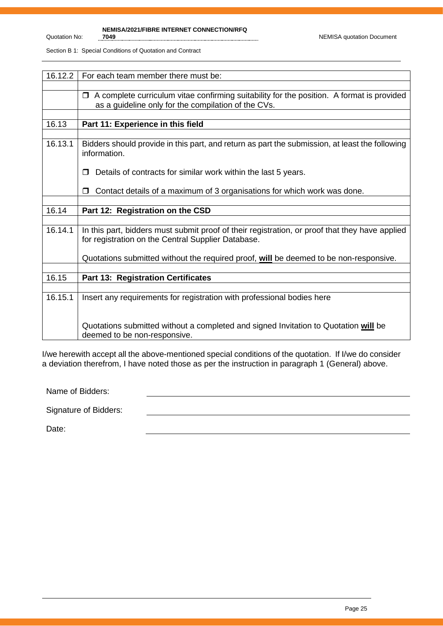Section B 1: Special Conditions of Quotation and Contract

| 16.12.2 | For each team member there must be:                                                                                                                        |
|---------|------------------------------------------------------------------------------------------------------------------------------------------------------------|
|         |                                                                                                                                                            |
|         | A complete curriculum vitae confirming suitability for the position. A format is provided<br>$\Box$<br>as a guideline only for the compilation of the CVs. |
|         |                                                                                                                                                            |
| 16.13   | Part 11: Experience in this field                                                                                                                          |
|         |                                                                                                                                                            |
| 16.13.1 | Bidders should provide in this part, and return as part the submission, at least the following<br>information.                                             |
|         | Details of contracts for similar work within the last 5 years.                                                                                             |
|         | Contact details of a maximum of 3 organisations for which work was done.                                                                                   |
|         |                                                                                                                                                            |
| 16.14   | Part 12: Registration on the CSD                                                                                                                           |
|         |                                                                                                                                                            |
| 16.14.1 | In this part, bidders must submit proof of their registration, or proof that they have applied<br>for registration on the Central Supplier Database.       |
|         | Quotations submitted without the required proof, will be deemed to be non-responsive.                                                                      |
|         |                                                                                                                                                            |
| 16.15   | <b>Part 13: Registration Certificates</b>                                                                                                                  |
|         |                                                                                                                                                            |
| 16.15.1 | Insert any requirements for registration with professional bodies here                                                                                     |
|         | Quotations submitted without a completed and signed Invitation to Quotation will be<br>deemed to be non-responsive.                                        |

I/we herewith accept all the above-mentioned special conditions of the quotation. If I/we do consider a deviation therefrom, I have noted those as per the instruction in paragraph 1 (General) above.

Name of Bidders:

Signature of Bidders:

Date: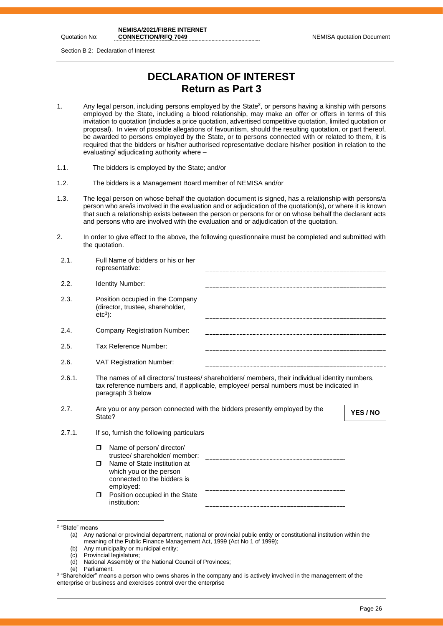**NEMISA/2021/FIBRE INTERNET** 

Quotation No:

Section B 2: Declaration of Interest

# **DECLARATION OF INTEREST Return as Part 3**

- 1. Any legal person, including persons employed by the State<sup>2</sup>, or persons having a kinship with persons employed by the State, including a blood relationship, may make an offer or offers in terms of this invitation to quotation (includes a price quotation, advertised competitive quotation, limited quotation or proposal). In view of possible allegations of favouritism, should the resulting quotation, or part thereof, be awarded to persons employed by the State, or to persons connected with or related to them, it is required that the bidders or his/her authorised representative declare his/her position in relation to the evaluating/ adjudicating authority where –
- 1.1. The bidders is employed by the State; and/or
- 1.2. The bidders is a Management Board member of NEMISA and/or
- 1.3. The legal person on whose behalf the quotation document is signed, has a relationship with persons/a person who are/is involved in the evaluation and or adjudication of the quotation(s), or where it is known that such a relationship exists between the person or persons for or on whose behalf the declarant acts and persons who are involved with the evaluation and or adjudication of the quotation.
- 2. In order to give effect to the above, the following questionnaire must be completed and submitted with the quotation.

| 2.1.   | Full Name of bidders or his or her<br>representative:                                                                                                                                                           |  |  |  |  |
|--------|-----------------------------------------------------------------------------------------------------------------------------------------------------------------------------------------------------------------|--|--|--|--|
| 2.2.   | <b>Identity Number:</b>                                                                                                                                                                                         |  |  |  |  |
| 2.3.   | Position occupied in the Company<br>(director, trustee, shareholder,<br>$etc3$ :                                                                                                                                |  |  |  |  |
| 2.4.   | <b>Company Registration Number:</b>                                                                                                                                                                             |  |  |  |  |
| 2.5.   | Tax Reference Number:                                                                                                                                                                                           |  |  |  |  |
| 2.6.   | <b>VAT Registration Number:</b>                                                                                                                                                                                 |  |  |  |  |
| 2.6.1. | The names of all directors/ trustees/ shareholders/ members, their individual identity numbers,<br>tax reference numbers and, if applicable, employee/ persal numbers must be indicated in<br>paragraph 3 below |  |  |  |  |
| 2.7.   | Are you or any person connected with the bidders presently employed by the<br>YES / NO<br>State?                                                                                                                |  |  |  |  |
| 2.7.1. | If so, furnish the following particulars                                                                                                                                                                        |  |  |  |  |
|        | Name of person/ director/<br>$\Box$<br>trustee/shareholder/member:                                                                                                                                              |  |  |  |  |
|        | Name of State institution at<br>$\Box$<br>which you or the person<br>connected to the bidders is<br>employed:                                                                                                   |  |  |  |  |
|        | Position occupied in the State<br>$\Box$<br>institution:                                                                                                                                                        |  |  |  |  |

- (c) Provincial legislature;
- (d) National Assembly or the National Council of Provinces;

<sup>2</sup> "State" means

<sup>(</sup>a) Any national or provincial department, national or provincial public entity or constitutional institution within the meaning of the Public Finance Management Act, 1999 (Act No 1 of 1999);

<sup>(</sup>b) Any municipality or municipal entity;

<sup>(</sup>e) Parliament.

<sup>3</sup> "Shareholder" means a person who owns shares in the company and is actively involved in the management of the enterprise or business and exercises control over the enterprise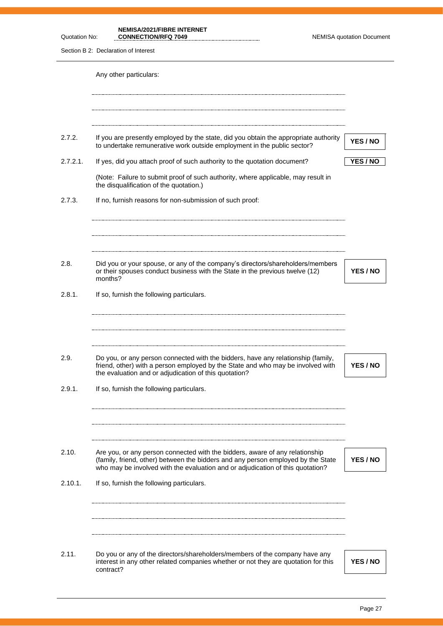| <b>NEMISA/2021/FIBRE INTERNET</b> |
|-----------------------------------|
| CONNECTION/DEO 7049               |

**CONNECTION/RFQ 7049** NEMISA quotation Document

Section B 2: Declaration of Interest

Quotation No:

|          | Any other particulars:                                                                                                                                                                                                       |          |
|----------|------------------------------------------------------------------------------------------------------------------------------------------------------------------------------------------------------------------------------|----------|
|          |                                                                                                                                                                                                                              |          |
| 2.7.2.   | If you are presently employed by the state, did you obtain the appropriate authority<br>to undertake remunerative work outside employment in the public sector?                                                              | YES / NO |
| 2.7.2.1. | If yes, did you attach proof of such authority to the quotation document?                                                                                                                                                    | YES / NO |
|          | (Note: Failure to submit proof of such authority, where applicable, may result in<br>the disqualification of the quotation.)                                                                                                 |          |
| 2.7.3.   | If no, furnish reasons for non-submission of such proof:                                                                                                                                                                     |          |
| 2.8.     | Did you or your spouse, or any of the company's directors/shareholders/members<br>or their spouses conduct business with the State in the previous twelve (12)                                                               | YES / NO |
|          | months?                                                                                                                                                                                                                      |          |
|          |                                                                                                                                                                                                                              |          |
| 2.9.     | Do you, or any person connected with the bidders, have any relationship (family,<br>friend, other) with a person employed by the State and who may be involved with<br>the evaluation and or adjudication of this quotation? | YES / NO |
| 2.9.1.   | If so, furnish the following particulars.                                                                                                                                                                                    |          |
| 2.10.    | Are you, or any person connected with the bidders, aware of any relationship<br>(family, friend, other) between the bidders and any person employed by the State                                                             | YES / NO |
| 2.10.1.  | who may be involved with the evaluation and or adjudication of this quotation?<br>If so, furnish the following particulars.                                                                                                  |          |
|          |                                                                                                                                                                                                                              |          |
| 2.11.    | Do you or any of the directors/shareholders/members of the company have any<br>interest in any other related companies whether or not they are quotation for this<br>contract?                                               | YES / NO |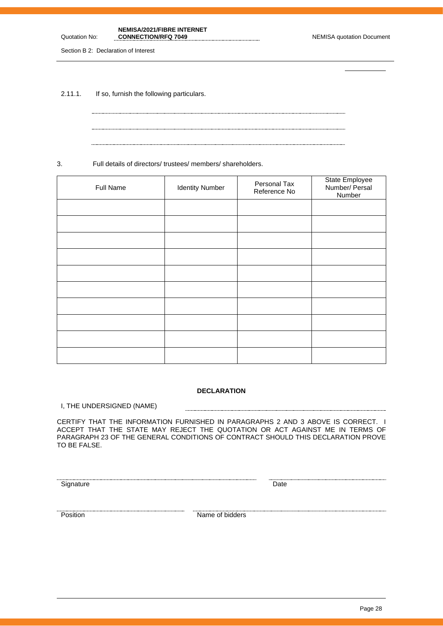| <b>NEMISA/2021/FIBRE INTERNET</b> |  |
|-----------------------------------|--|
| <b>CONNECTION/RFQ 7049</b>        |  |

Section B 2: Declaration of Interest

Quotation No:

2.11.1. If so, furnish the following particulars.

3. Full details of directors/ trustees/ members/ shareholders.

| Full Name | <b>Identity Number</b> | Personal Tax<br>Reference No | State Employee<br>Number/ Persal<br>Number |
|-----------|------------------------|------------------------------|--------------------------------------------|
|           |                        |                              |                                            |
|           |                        |                              |                                            |
|           |                        |                              |                                            |
|           |                        |                              |                                            |
|           |                        |                              |                                            |
|           |                        |                              |                                            |
|           |                        |                              |                                            |
|           |                        |                              |                                            |
|           |                        |                              |                                            |
|           |                        |                              |                                            |

#### **DECLARATION**

----------

I, THE UNDERSIGNED (NAME)

CERTIFY THAT THE INFORMATION FURNISHED IN PARAGRAPHS 2 AND 3 ABOVE IS CORRECT. I ACCEPT THAT THE STATE MAY REJECT THE QUOTATION OR ACT AGAINST ME IN TERMS OF PARAGRAPH 23 OF THE GENERAL CONDITIONS OF CONTRACT SHOULD THIS DECLARATION PROVE TO BE FALSE.

Signature Date

Position **Name of bidders**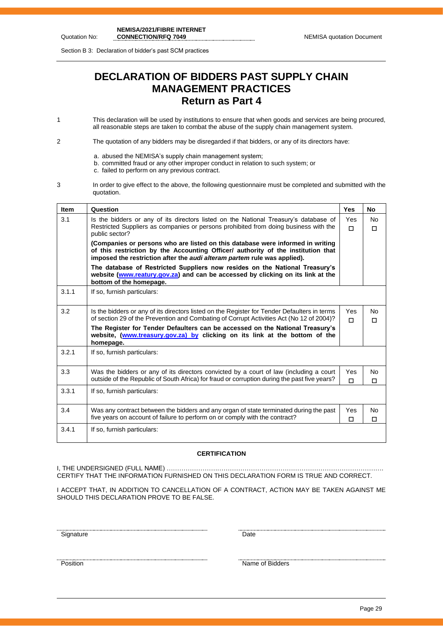Section B 3: Declaration of bidder's past SCM practices

Quotation No:

# **DECLARATION OF BIDDERS PAST SUPPLY CHAIN MANAGEMENT PRACTICES Return as Part 4**

- 1 This declaration will be used by institutions to ensure that when goods and services are being procured, all reasonable steps are taken to combat the abuse of the supply chain management system.
- 2 The quotation of any bidders may be disregarded if that bidders, or any of its directors have:
	- a. abused the NEMISA's supply chain management system;
	- b. committed fraud or any other improper conduct in relation to such system; or
	- c. failed to perform on any previous contract.
- 3 In order to give effect to the above, the following questionnaire must be completed and submitted with the quotation.

| <b>Item</b> | Question                                                                                                                                                                                                                                       |               |                     |
|-------------|------------------------------------------------------------------------------------------------------------------------------------------------------------------------------------------------------------------------------------------------|---------------|---------------------|
| 3.1         | Is the bidders or any of its directors listed on the National Treasury's database of<br>Restricted Suppliers as companies or persons prohibited from doing business with the<br>public sector?                                                 | Yes<br>$\Box$ | <b>No</b><br>п      |
|             | (Companies or persons who are listed on this database were informed in writing<br>of this restriction by the Accounting Officer/ authority of the institution that<br>imposed the restriction after the audi alteram partem rule was applied). |               |                     |
|             | The database of Restricted Suppliers now resides on the National Treasury's<br>website (www.reatury.gov.za) and can be accessed by clicking on its link at the<br>bottom of the homepage.                                                      |               |                     |
| 3.1.1       | If so, furnish particulars:                                                                                                                                                                                                                    |               |                     |
| 3.2         | Is the bidders or any of its directors listed on the Register for Tender Defaulters in terms<br>of section 29 of the Prevention and Combating of Corrupt Activities Act (No 12 of 2004)?                                                       | Yes<br>п      | No.<br>П            |
|             | The Register for Tender Defaulters can be accessed on the National Treasury's<br>website, (www.treasury.gov.za) by clicking on its link at the bottom of the<br>homepage.                                                                      |               |                     |
| 3.2.1       | If so, furnish particulars:                                                                                                                                                                                                                    |               |                     |
| 3.3         | Was the bidders or any of its directors convicted by a court of law (including a court<br>outside of the Republic of South Africa) for fraud or corruption during the past five years?                                                         | Yes<br>П      | <b>No</b><br>П      |
| 3.3.1       | If so, furnish particulars:                                                                                                                                                                                                                    |               |                     |
| 3.4         | Was any contract between the bidders and any organ of state terminated during the past<br>five years on account of failure to perform on or comply with the contract?                                                                          | Yes<br>$\Box$ | <b>No</b><br>$\Box$ |
| 3.4.1       | If so, furnish particulars:                                                                                                                                                                                                                    |               |                     |

#### **CERTIFICATION**

I, THE UNDERSIGNED (FULL NAME) …………………………………………………………………………………………. CERTIFY THAT THE INFORMATION FURNISHED ON THIS DECLARATION FORM IS TRUE AND CORRECT.

I ACCEPT THAT, IN ADDITION TO CANCELLATION OF A CONTRACT, ACTION MAY BE TAKEN AGAINST ME SHOULD THIS DECLARATION PROVE TO BE FALSE.

<u>Signature Date</u>

<u>The contract of Bidders</u><br>Position Name of Bidders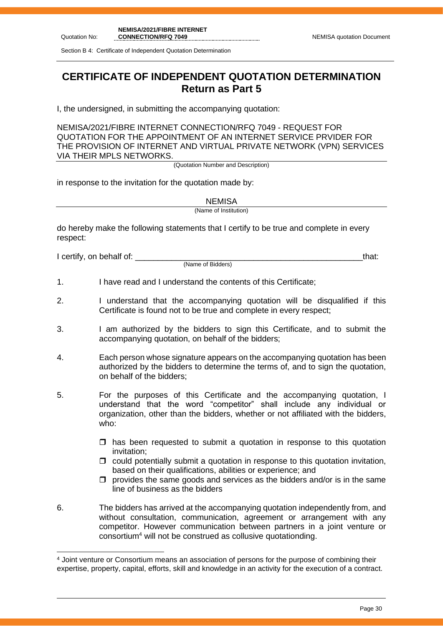Section B 4: Certificate of Independent Quotation Determination

# **CERTIFICATE OF INDEPENDENT QUOTATION DETERMINATION Return as Part 5**

I, the undersigned, in submitting the accompanying quotation:

NEMISA/2021/FIBRE INTERNET CONNECTION/RFQ 7049 - REQUEST FOR QUOTATION FOR THE APPOINTMENT OF AN INTERNET SERVICE PRVIDER FOR THE PROVISION OF INTERNET AND VIRTUAL PRIVATE NETWORK (VPN) SERVICES VIA THEIR MPLS NETWORKS.

(Quotation Number and Description)

in response to the invitation for the quotation made by:

**NEMISA** 

(Name of Institution)

do hereby make the following statements that I certify to be true and complete in every respect:

I certify, on behalf of: the state of the state of the state of the state of the state of the state of the stat

(Name of Bidders)

- 1. I have read and I understand the contents of this Certificate;
- 2. I understand that the accompanying quotation will be disqualified if this Certificate is found not to be true and complete in every respect;
- 3. I am authorized by the bidders to sign this Certificate, and to submit the accompanying quotation, on behalf of the bidders;
- 4. Each person whose signature appears on the accompanying quotation has been authorized by the bidders to determine the terms of, and to sign the quotation, on behalf of the bidders;
- 5. For the purposes of this Certificate and the accompanying quotation, I understand that the word "competitor" shall include any individual or organization, other than the bidders, whether or not affiliated with the bidders, who:
	- $\Box$  has been requested to submit a quotation in response to this quotation invitation;
	- $\Box$  could potentially submit a quotation in response to this quotation invitation, based on their qualifications, abilities or experience; and
	- $\Box$  provides the same goods and services as the bidders and/or is in the same line of business as the bidders
- 6. The bidders has arrived at the accompanying quotation independently from, and without consultation, communication, agreement or arrangement with any competitor. However communication between partners in a joint venture or consortium<sup>4</sup> will not be construed as collusive quotationding.

<sup>4</sup> Joint venture or Consortium means an association of persons for the purpose of combining their expertise, property, capital, efforts, skill and knowledge in an activity for the execution of a contract.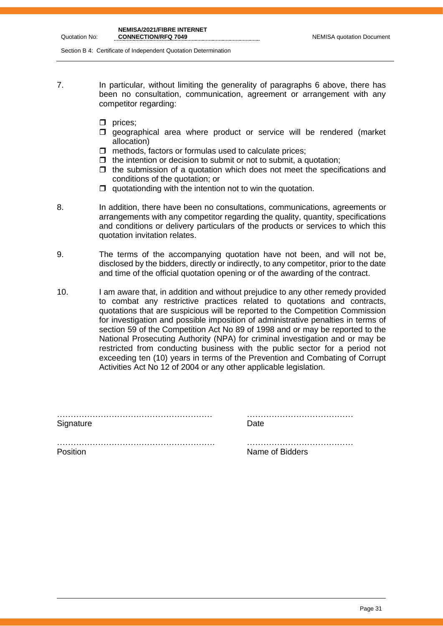Section B 4: Certificate of Independent Quotation Determination

- 7. In particular, without limiting the generality of paragraphs 6 above, there has been no consultation, communication, agreement or arrangement with any competitor regarding:
	- $\Box$  prices;
	- **I** geographical area where product or service will be rendered (market allocation)
	- $\Box$  methods, factors or formulas used to calculate prices;
	- $\Box$  the intention or decision to submit or not to submit, a quotation:
	- $\Box$  the submission of a quotation which does not meet the specifications and conditions of the quotation; or
	- $\Box$  quotationding with the intention not to win the quotation.
- 8. In addition, there have been no consultations, communications, agreements or arrangements with any competitor regarding the quality, quantity, specifications and conditions or delivery particulars of the products or services to which this quotation invitation relates.
- 9. The terms of the accompanying quotation have not been, and will not be, disclosed by the bidders, directly or indirectly, to any competitor, prior to the date and time of the official quotation opening or of the awarding of the contract.
- 10. I am aware that, in addition and without prejudice to any other remedy provided to combat any restrictive practices related to quotations and contracts, quotations that are suspicious will be reported to the Competition Commission for investigation and possible imposition of administrative penalties in terms of section 59 of the Competition Act No 89 of 1998 and or may be reported to the National Prosecuting Authority (NPA) for criminal investigation and or may be restricted from conducting business with the public sector for a period not exceeding ten (10) years in terms of the Prevention and Combating of Corrupt Activities Act No 12 of 2004 or any other applicable legislation.

|           | . |
|-----------|---|
| Signature |   |

………………………………………………… …………………………………

…………………………………………………. ………………………………… Position **Name of Bidders**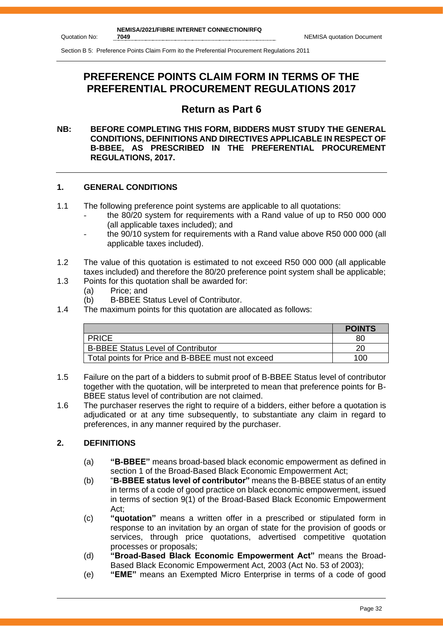Section B 5: Preference Points Claim Form ito the Preferential Procurement Regulations 2011

# **PREFERENCE POINTS CLAIM FORM IN TERMS OF THE PREFERENTIAL PROCUREMENT REGULATIONS 2017**

# **Return as Part 6**

#### **NB: BEFORE COMPLETING THIS FORM, BIDDERS MUST STUDY THE GENERAL CONDITIONS, DEFINITIONS AND DIRECTIVES APPLICABLE IN RESPECT OF B-BBEE, AS PRESCRIBED IN THE PREFERENTIAL PROCUREMENT REGULATIONS, 2017.**

#### **1. GENERAL CONDITIONS**

- 1.1 The following preference point systems are applicable to all quotations:
	- the 80/20 system for requirements with a Rand value of up to R50 000 000 (all applicable taxes included); and
	- the 90/10 system for requirements with a Rand value above R50 000 000 (all applicable taxes included).
- 1.2 The value of this quotation is estimated to not exceed R50 000 000 (all applicable taxes included) and therefore the 80/20 preference point system shall be applicable;
- 1.3 Points for this quotation shall be awarded for:
	- (a) Price; and
	- (b) B-BBEE Status Level of Contributor.
- 1.4 The maximum points for this quotation are allocated as follows:

|                                                   | <b>POINTS</b> |
|---------------------------------------------------|---------------|
| <b>PRICE</b>                                      | 80            |
| <b>B-BBEE Status Level of Contributor</b>         | 20            |
| Total points for Price and B-BBEE must not exceed | 100           |

- 1.5 Failure on the part of a bidders to submit proof of B-BBEE Status level of contributor together with the quotation, will be interpreted to mean that preference points for B-BBEE status level of contribution are not claimed.
- 1.6 The purchaser reserves the right to require of a bidders, either before a quotation is adjudicated or at any time subsequently, to substantiate any claim in regard to preferences, in any manner required by the purchaser.

#### **2. DEFINITIONS**

- (a) **"B-BBEE"** means broad-based black economic empowerment as defined in section 1 of the Broad-Based Black Economic Empowerment Act;
- (b) "**B-BBEE status level of contributor"** means the B-BBEE status of an entity in terms of a code of good practice on black economic empowerment, issued in terms of section 9(1) of the Broad-Based Black Economic Empowerment Act;
- (c) **"quotation"** means a written offer in a prescribed or stipulated form in response to an invitation by an organ of state for the provision of goods or services, through price quotations, advertised competitive quotation processes or proposals;
- (d) **"Broad-Based Black Economic Empowerment Act"** means the Broad-Based Black Economic Empowerment Act, 2003 (Act No. 53 of 2003);
- (e) **"EME"** means an Exempted Micro Enterprise in terms of a code of good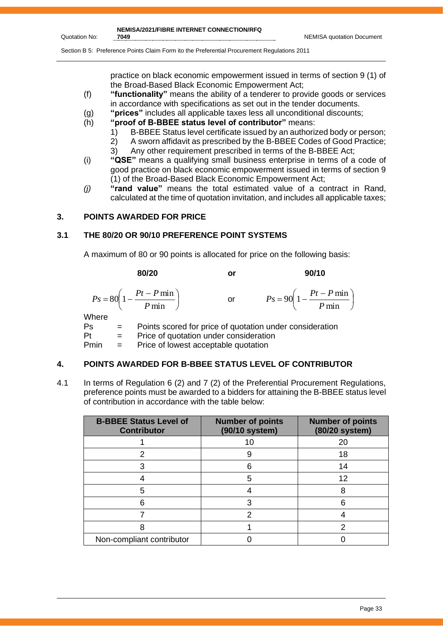$\overline{\phantom{a}}$  $\big)$ 

Section B 5: Preference Points Claim Form ito the Preferential Procurement Regulations 2011

practice on black economic empowerment issued in terms of section 9 (1) of the Broad-Based Black Economic Empowerment Act;

- (f) **"functionality"** means the ability of a tenderer to provide goods or services in accordance with specifications as set out in the tender documents.
- (g) **"prices"** includes all applicable taxes less all unconditional discounts;
- (h) **"proof of B-BBEE status level of contributor"** means:
	- 1) B-BBEE Status level certificate issued by an authorized body or person;
	- 2) A sworn affidavit as prescribed by the B-BBEE Codes of Good Practice;
	- 3) Any other requirement prescribed in terms of the B-BBEE Act;
- (i) **"QSE"** means a qualifying small business enterprise in terms of a code of good practice on black economic empowerment issued in terms of section 9 (1) of the Broad-Based Black Economic Empowerment Act;
- *(j)* **"rand value"** means the total estimated value of a contract in Rand, calculated at the time of quotation invitation, and includes all applicable taxes;

#### **3. POINTS AWARDED FOR PRICE**

#### **3.1 THE 80/20 OR 90/10 PREFERENCE POINT SYSTEMS**

A maximum of 80 or 90 points is allocated for price on the following basis:

**80/20 or 90/10**  $\overline{\phantom{a}}$ J  $\left(1-\frac{Pt-P\min}{R}\right)$  $\setminus$  $=80\left(1-\frac{Pt-}{\right)$ min  $80\left(1-\frac{Pt-P\min}{\sum_{i=1}^{n}H_i}\right)$ *P*  $P_s = 80 \left( 1 - \frac{Pt - P}{r} \right)$ or  $\left(1-\frac{Pt-P\min}{R}\right)$  $\setminus$  $= 90 \left( 1 - \frac{Pt - F}{T}\right)$ min  $90\left(1-\frac{Pt-P\min}{\sum_{i=1}^{n}H_i}\right)$ *P*  $P_s = 90 \left( 1 - \frac{Pt - P}{r} \right)$ **Where** 

Ps = Points scored for price of quotation under consideration  $Pt =$  Price of quotation under consideration

Pmin = Price of lowest acceptable quotation

## **4. POINTS AWARDED FOR B-BBEE STATUS LEVEL OF CONTRIBUTOR**

4.1 In terms of Regulation 6 (2) and 7 (2) of the Preferential Procurement Regulations, preference points must be awarded to a bidders for attaining the B-BBEE status level of contribution in accordance with the table below:

| <b>B-BBEE Status Level of</b><br><b>Contributor</b> | <b>Number of points</b><br>(90/10 system) | <b>Number of points</b><br>(80/20 system) |
|-----------------------------------------------------|-------------------------------------------|-------------------------------------------|
|                                                     | 10                                        | 20                                        |
| 2                                                   | 9                                         | 18                                        |
|                                                     | 6                                         | 14                                        |
|                                                     | 5                                         | 12                                        |
| 5                                                   |                                           |                                           |
| հ                                                   | 3                                         | հ                                         |
|                                                     |                                           |                                           |
|                                                     |                                           |                                           |
| Non-compliant contributor                           |                                           |                                           |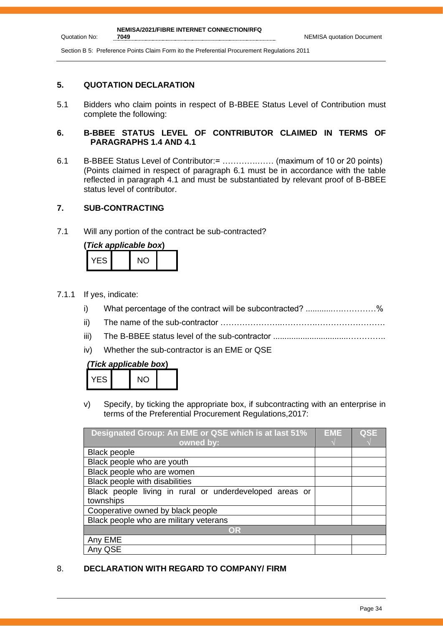Section B 5: Preference Points Claim Form ito the Preferential Procurement Regulations 2011

### **5. QUOTATION DECLARATION**

Quotation No:

5.1 Bidders who claim points in respect of B-BBEE Status Level of Contribution must complete the following:

#### **6. B-BBEE STATUS LEVEL OF CONTRIBUTOR CLAIMED IN TERMS OF PARAGRAPHS 1.4 AND 4.1**

6.1 B-BBEE Status Level of Contributor:= ………….…… (maximum of 10 or 20 points) (Points claimed in respect of paragraph 6.1 must be in accordance with the table reflected in paragraph 4.1 and must be substantiated by relevant proof of B-BBEE status level of contributor.

## **7. SUB-CONTRACTING**

7.1 Will any portion of the contract be sub-contracted?

| (Tick applicable box) |       |  |     |  |
|-----------------------|-------|--|-----|--|
|                       | YES I |  | NO) |  |

- 7.1.1 If yes, indicate:
	- i) What percentage of the contract will be subcontracted? ............….…………%
	- ii) The name of the sub-contractor …………………..………….…………………….
	- iii) The B-BBEE status level of the sub-contractor .................................…………..
	- iv) Whether the sub-contractor is an EME or QSE

## *(Tick applicable box***)**

|  | - 51 |  | NC. |  |
|--|------|--|-----|--|
|--|------|--|-----|--|

v) Specify, by ticking the appropriate box, if subcontracting with an enterprise in terms of the Preferential Procurement Regulations,2017:

| Designated Group: An EME or QSE which is at last 51%    |  | <b>QSE</b> |
|---------------------------------------------------------|--|------------|
| owned by:                                               |  |            |
| <b>Black people</b>                                     |  |            |
| Black people who are youth                              |  |            |
| Black people who are women                              |  |            |
| Black people with disabilities                          |  |            |
| Black people living in rural or underdeveloped areas or |  |            |
| townships                                               |  |            |
| Cooperative owned by black people                       |  |            |
| Black people who are military veterans                  |  |            |
| OR                                                      |  |            |
| Any EME                                                 |  |            |
| Any QSE                                                 |  |            |

## 8. **DECLARATION WITH REGARD TO COMPANY/ FIRM**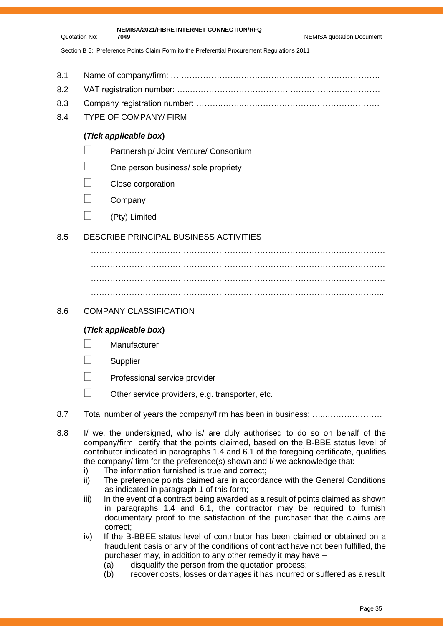| 7049 |  | <b>NEMISA quotation Document</b> |
|------|--|----------------------------------|

Section B 5: Preference Points Claim Form ito the Preferential Procurement Regulations 2011

**NEMISA/2021/FIBRE INTERNET CONNECTION/RFQ** 

- 8.1 Name of company/firm: ….……………………………………………………………….
- 8.2 VAT registration number: …..……………………………….……………………………
- 8.3 Company registration number: ……….……..…………….…………………………….
- 8.4 TYPE OF COMPANY/ FIRM

Quotation No:

## **(***Tick applicable box***)**

- **Partnership/ Joint Venture/ Consortium**
- $\Box$  One person business/ sole propriety
- Close corporation
- $\Box$  Company
- $\Box$  (Pty) Limited

## 8.5 DESCRIBE PRINCIPAL BUSINESS ACTIVITIES

……………………………………………………………………………………………… ………………………………………………………………………………………………

## 8.6 COMPANY CLASSIFICATION

## **(***Tick applicable box***)**

- **Manufacturer**
- **Supplier**
- Professional service provider
- $\Box$  Other service providers, e.g. transporter, etc.
- 8.7 Total number of years the company/firm has been in business: ………………………
- 8.8 I/ we, the undersigned, who is/ are duly authorised to do so on behalf of the company/firm, certify that the points claimed, based on the B-BBE status level of contributor indicated in paragraphs 1.4 and 6.1 of the foregoing certificate, qualifies the company/ firm for the preference(s) shown and I/ we acknowledge that:
	- i) The information furnished is true and correct;
	- ii) The preference points claimed are in accordance with the General Conditions as indicated in paragraph 1 of this form;
	- iii) In the event of a contract being awarded as a result of points claimed as shown in paragraphs 1.4 and 6.1, the contractor may be required to furnish documentary proof to the satisfaction of the purchaser that the claims are correct;
	- iv) If the B-BBEE status level of contributor has been claimed or obtained on a fraudulent basis or any of the conditions of contract have not been fulfilled, the purchaser may, in addition to any other remedy it may have –
		- (a) disqualify the person from the quotation process;
		- (b) recover costs, losses or damages it has incurred or suffered as a result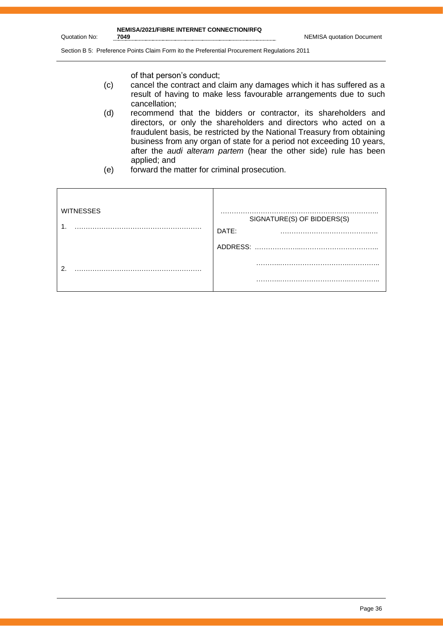**NEMISA/2021/FIBRE INTERNET CONNECTION/RFQ** 

Quotation No:

Section B 5: Preference Points Claim Form ito the Preferential Procurement Regulations 2011

of that person's conduct;

- (c) cancel the contract and claim any damages which it has suffered as a result of having to make less favourable arrangements due to such cancellation;
- (d) recommend that the bidders or contractor, its shareholders and directors, or only the shareholders and directors who acted on a fraudulent basis, be restricted by the National Treasury from obtaining business from any organ of state for a period not exceeding 10 years, after the *audi alteram partem* (hear the other side) rule has been applied; and
- (e) forward the matter for criminal prosecution.

| <b>WITNESSES</b> | SIGNATURE(S) OF BIDDERS(S)<br>DATE: |
|------------------|-------------------------------------|
|                  | ADDRESS:                            |
| ົ                |                                     |
|                  | .                                   |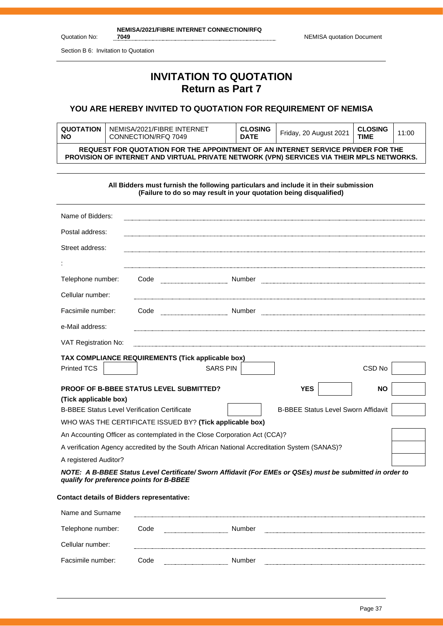**NEMISA/2021/FIBRE INTERNET CONNECTION/RFQ** 

Quotation No:

Section B 6: Invitation to Quotation

# **INVITATION TO QUOTATION Return as Part 7**

## **YOU ARE HEREBY INVITED TO QUOTATION FOR REQUIREMENT OF NEMISA**

| QUOTATION<br><b>NO</b> | NEMISA/2021/FIBRE INTERNET<br>CONNECTION/RFQ 7049                                                                                                                                    | <b>CLOSING</b><br><b>DATE</b> | Friday, 20 August 2021 | <b>CLOSING</b><br><b>TIME</b> | 11:00 |
|------------------------|--------------------------------------------------------------------------------------------------------------------------------------------------------------------------------------|-------------------------------|------------------------|-------------------------------|-------|
|                        | REQUEST FOR QUOTATION FOR THE APPOINTMENT OF AN INTERNET SERVICE PRVIDER FOR THE<br><b>PROVISION OF INTERNET AND VIRTUAL PRIVATE NETWORK (VPN) SERVICES VIA THEIR MPLS NETWORKS.</b> |                               |                        |                               |       |

|                                                     |      | All Bidders must furnish the following particulars and include it in their submission<br>(Failure to do so may result in your quotation being disqualified) |                                            |           |  |
|-----------------------------------------------------|------|-------------------------------------------------------------------------------------------------------------------------------------------------------------|--------------------------------------------|-----------|--|
| Name of Bidders:                                    |      |                                                                                                                                                             |                                            |           |  |
| Postal address:                                     |      |                                                                                                                                                             |                                            |           |  |
| Street address:                                     |      |                                                                                                                                                             |                                            |           |  |
|                                                     |      |                                                                                                                                                             |                                            |           |  |
| Telephone number:                                   | Code |                                                                                                                                                             |                                            |           |  |
| Cellular number:                                    |      |                                                                                                                                                             |                                            |           |  |
| Facsimile number:                                   |      |                                                                                                                                                             |                                            |           |  |
| e-Mail address:                                     |      |                                                                                                                                                             |                                            |           |  |
| VAT Registration No:                                |      |                                                                                                                                                             |                                            |           |  |
| TAX COMPLIANCE REQUIREMENTS (Tick applicable box)   |      |                                                                                                                                                             |                                            |           |  |
| <b>Printed TCS</b>                                  |      | <b>SARS PIN</b>                                                                                                                                             |                                            | CSD No    |  |
| <b>PROOF OF B-BBEE STATUS LEVEL SUBMITTED?</b>      |      |                                                                                                                                                             | <b>YES</b>                                 | <b>NO</b> |  |
| (Tick applicable box)                               |      |                                                                                                                                                             |                                            |           |  |
| <b>B-BBEE Status Level Verification Certificate</b> |      |                                                                                                                                                             | <b>B-BBEE Status Level Sworn Affidavit</b> |           |  |
|                                                     |      | WHO WAS THE CERTIFICATE ISSUED BY? (Tick applicable box)                                                                                                    |                                            |           |  |
|                                                     |      | An Accounting Officer as contemplated in the Close Corporation Act (CCA)?                                                                                   |                                            |           |  |
|                                                     |      | A verification Agency accredited by the South African National Accreditation System (SANAS)?                                                                |                                            |           |  |
| A registered Auditor?                               |      |                                                                                                                                                             |                                            |           |  |
| qualify for preference points for B-BBEE            |      | NOTE: A B-BBEE Status Level Certificate/ Sworn Affidavit (For EMEs or QSEs) must be submitted in order to                                                   |                                            |           |  |
| <b>Contact details of Bidders representative:</b>   |      |                                                                                                                                                             |                                            |           |  |
| Name and Surname                                    |      |                                                                                                                                                             |                                            |           |  |

| Telephone number: | Code | Number |              |
|-------------------|------|--------|--------------|
| Cellular number:  |      |        |              |
| Facsimile number: | Code | Number | ------------ |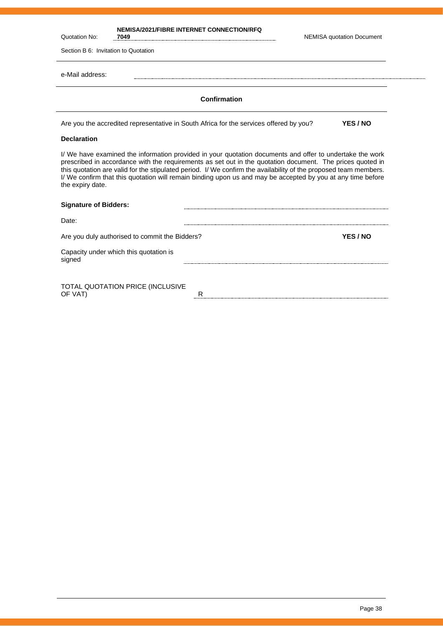| Quotation No:                | NEMISA/2021/FIBRE INTERNET CONNECTION/RFQ<br>7049                                                                                                                                                                                                                                                                                                                                                                                                        | <b>NEMISA quotation Document</b> |
|------------------------------|----------------------------------------------------------------------------------------------------------------------------------------------------------------------------------------------------------------------------------------------------------------------------------------------------------------------------------------------------------------------------------------------------------------------------------------------------------|----------------------------------|
|                              | Section B 6: Invitation to Quotation                                                                                                                                                                                                                                                                                                                                                                                                                     |                                  |
| e-Mail address:              |                                                                                                                                                                                                                                                                                                                                                                                                                                                          |                                  |
|                              | <b>Confirmation</b>                                                                                                                                                                                                                                                                                                                                                                                                                                      |                                  |
|                              | Are you the accredited representative in South Africa for the services offered by you?                                                                                                                                                                                                                                                                                                                                                                   | YES / NO                         |
| <b>Declaration</b>           |                                                                                                                                                                                                                                                                                                                                                                                                                                                          |                                  |
| the expiry date.             | I/ We have examined the information provided in your quotation documents and offer to undertake the work<br>prescribed in accordance with the requirements as set out in the quotation document. The prices quoted in<br>this quotation are valid for the stipulated period. I/ We confirm the availability of the proposed team members.<br>I/ We confirm that this quotation will remain binding upon us and may be accepted by you at any time before |                                  |
| <b>Signature of Bidders:</b> |                                                                                                                                                                                                                                                                                                                                                                                                                                                          |                                  |
| Date:                        |                                                                                                                                                                                                                                                                                                                                                                                                                                                          |                                  |
|                              | Are you duly authorised to commit the Bidders?                                                                                                                                                                                                                                                                                                                                                                                                           | <b>YES / NO</b>                  |
|                              | Capacity under which this quotation is                                                                                                                                                                                                                                                                                                                                                                                                                   |                                  |

TOTAL QUOTATION PRICE (INCLUSIVE OF VAT) RESERVED TO A RESERVED TO A RESERVED TO A RESERVED TO A RESERVED TO A RESERVED TO A RESERVED TO A RESERVED TO A RESERVED TO A RESERVED TO A RESERVED TO A RESERVED TO A RESERVED TO A RESERVED TO A RESERVED TO A RESE

 $\overline{\phantom{a}}$ 

signed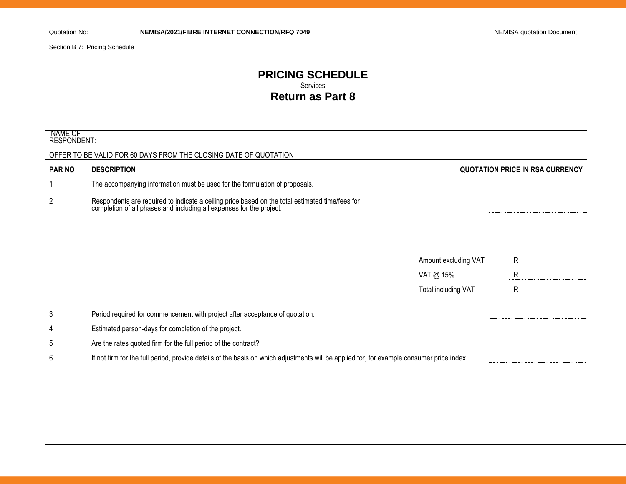Section B 7: Pricing Schedule

# **PRICING SCHEDULE** Services **Return as Part 8**

| NAME OF<br>RESPONDENT:                                           |                                                                                                                                                                      |                                 |              |  |  |
|------------------------------------------------------------------|----------------------------------------------------------------------------------------------------------------------------------------------------------------------|---------------------------------|--------------|--|--|
| OFFER TO BE VALID FOR 60 DAYS FROM THE CLOSING DATE OF QUOTATION |                                                                                                                                                                      |                                 |              |  |  |
| <b>PAR NO</b>                                                    | <b>DESCRIPTION</b>                                                                                                                                                   | QUOTATION PRICE IN RSA CURRENCY |              |  |  |
|                                                                  | The accompanying information must be used for the formulation of proposals.                                                                                          |                                 |              |  |  |
| $\overline{2}$                                                   | Respondents are required to indicate a ceiling price based on the total estimated time/fees for completion of all phases and including all expenses for the project. |                                 |              |  |  |
|                                                                  |                                                                                                                                                                      |                                 |              |  |  |
|                                                                  |                                                                                                                                                                      | Amount excluding VAT            | R            |  |  |
|                                                                  |                                                                                                                                                                      | VAT @ 15%                       | R            |  |  |
|                                                                  |                                                                                                                                                                      | Total including VAT             | $\mathsf{R}$ |  |  |
| 3                                                                | Period required for commencement with project after acceptance of quotation.                                                                                         |                                 |              |  |  |
| 4                                                                | Estimated person-days for completion of the project.                                                                                                                 |                                 |              |  |  |
| 5                                                                | Are the rates quoted firm for the full period of the contract?                                                                                                       |                                 |              |  |  |
| 6                                                                | If not firm for the full period, provide details of the basis on which adjustments will be applied for, for example consumer price index.                            |                                 |              |  |  |